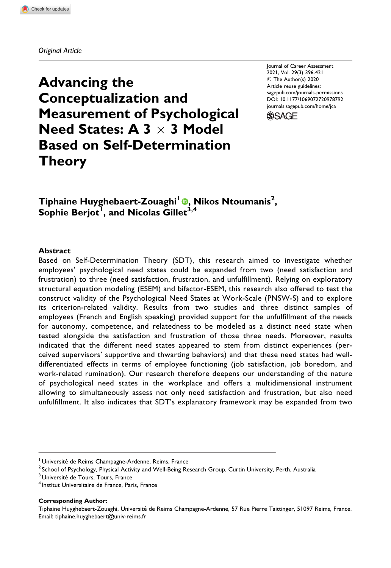*Original Article*

Journal of Career Assessment 2021, Vol. 29(3) 396-421 © The Author(s) 2020 Article reuse guidelines: [sagepub.com/journals-permissions](https://sagepub.com/journals-permissions) [DOI: 10.1177/1069072720978792](https://doi.org/10.1177/1069072720978792) [journals.sagepub.com/home/jca](http://journals.sagepub.com/home/jca)



**Advancing the Conceptualization and Measurement of Psychological**  $N$ eed States: A 3  $\times$  3 Model **Based on Self-Determination Theory**

**Tiphaine Huyghebaert-Zouaghi<sup>1</sup> , Nikos Ntoumanis<sup>2</sup> , Sophie Berjot<sup>1</sup> , and Nicolas Gillet3,4**

#### **Abstract**

Based on Self-Determination Theory (SDT), this research aimed to investigate whether employees' psychological need states could be expanded from two (need satisfaction and frustration) to three (need satisfaction, frustration, and unfulfillment). Relying on exploratory structural equation modeling (ESEM) and bifactor-ESEM, this research also offered to test the construct validity of the Psychological Need States at Work-Scale (PNSW-S) and to explore its criterion-related validity. Results from two studies and three distinct samples of employees (French and English speaking) provided support for the unfulfillment of the needs for autonomy, competence, and relatedness to be modeled as a distinct need state when tested alongside the satisfaction and frustration of those three needs. Moreover, results indicated that the different need states appeared to stem from distinct experiences (perceived supervisors' supportive and thwarting behaviors) and that these need states had welldifferentiated effects in terms of employee functioning (job satisfaction, job boredom, and work-related rumination). Our research therefore deepens our understanding of the nature of psychological need states in the workplace and offers a multidimensional instrument allowing to simultaneously assess not only need satisfaction and frustration, but also need unfulfillment. It also indicates that SDT's explanatory framework may be expanded from two

#### **Corresponding Author:**

<sup>&</sup>lt;sup>1</sup> Université de Reims Champagne-Ardenne, Reims, France<br><sup>2</sup> School of Psychology, Physical Activity and Well-Being Research Group, Curtin University, Perth, Australia

 $3$  Université de Tours, Tours, France<br> $4$  Institut Universitaire de France, Paris, France

Tiphaine Huyghebaert-Zouaghi, Université de Reims Champagne-Ardenne, 57 Rue Pierre Taittinger, 51097 Reims, France. Email: [tiphaine.huyghebaert@univ-reims.fr](mailto:tiphaine.huyghebaert@univ-reims.fr)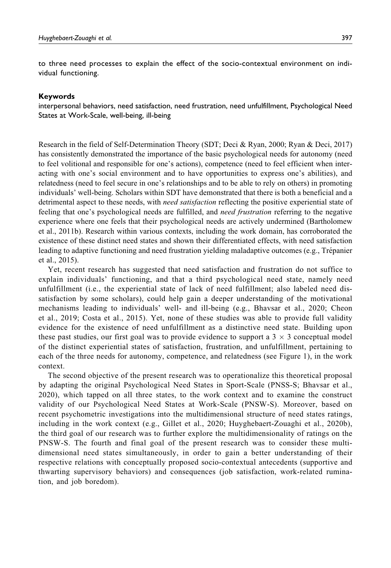to three need processes to explain the effect of the socio-contextual environment on individual functioning.

#### **Keywords**

interpersonal behaviors, need satisfaction, need frustration, need unfulfillment, Psychological Need States at Work-Scale, well-being, ill-being

Research in the field of Self-Determination Theory (SDT; Deci & Ryan, 2000; Ryan & Deci, 2017) has consistently demonstrated the importance of the basic psychological needs for autonomy (need to feel volitional and responsible for one's actions), competence (need to feel efficient when interacting with one's social environment and to have opportunities to express one's abilities), and relatedness (need to feel secure in one's relationships and to be able to rely on others) in promoting individuals' well-being. Scholars within SDT have demonstrated that there is both a beneficial and a detrimental aspect to these needs, with *need satisfaction* reflecting the positive experiential state of feeling that one's psychological needs are fulfilled, and *need frustration* referring to the negative experience where one feels that their psychological needs are actively undermined (Bartholomew et al., 2011b). Research within various contexts, including the work domain, has corroborated the existence of these distinct need states and shown their differentiated effects, with need satisfaction leading to adaptive functioning and need frustration yielding maladaptive outcomes (e.g., Trépanier et al., 2015).

Yet, recent research has suggested that need satisfaction and frustration do not suffice to explain individuals' functioning, and that a third psychological need state, namely need unfulfillment (i.e., the experiential state of lack of need fulfillment; also labeled need dissatisfaction by some scholars), could help gain a deeper understanding of the motivational mechanisms leading to individuals' well- and ill-being (e.g., Bhavsar et al., 2020; Cheon et al., 2019; Costa et al., 2015). Yet, none of these studies was able to provide full validity evidence for the existence of need unfulfillment as a distinctive need state. Building upon these past studies, our first goal was to provide evidence to support a  $3 \times 3$  conceptual model of the distinct experiential states of satisfaction, frustration, and unfulfillment, pertaining to each of the three needs for autonomy, competence, and relatedness (see Figure 1), in the work context.

The second objective of the present research was to operationalize this theoretical proposal by adapting the original Psychological Need States in Sport-Scale (PNSS-S; Bhavsar et al., 2020), which tapped on all three states, to the work context and to examine the construct validity of our Psychological Need States at Work-Scale (PNSW-S). Moreover, based on recent psychometric investigations into the multidimensional structure of need states ratings, including in the work context (e.g., Gillet et al., 2020; Huyghebaert-Zouaghi et al., 2020b), the third goal of our research was to further explore the multidimensionality of ratings on the PNSW-S. The fourth and final goal of the present research was to consider these multidimensional need states simultaneously, in order to gain a better understanding of their respective relations with conceptually proposed socio-contextual antecedents (supportive and thwarting supervisory behaviors) and consequences (job satisfaction, work-related rumination, and job boredom).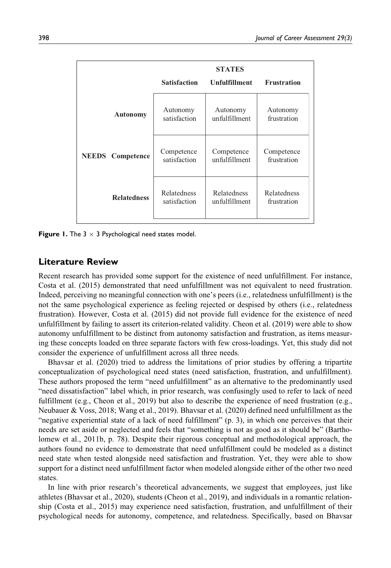|              |                    | <b>STATES</b>                      |                              |                            |  |  |  |
|--------------|--------------------|------------------------------------|------------------------------|----------------------------|--|--|--|
|              |                    | <b>Satisfaction</b>                | <b>Unfulfillment</b>         | <b>Frustration</b>         |  |  |  |
|              | <b>Autonomy</b>    | Autonomy<br>satisfaction           | Autonomy<br>unfulfillment    | Autonomy<br>frustration    |  |  |  |
| <b>NEEDS</b> | Competence         | Competence<br>satisfaction         | Competence<br>unfulfillment  | Competence<br>frustration  |  |  |  |
|              | <b>Relatedness</b> | <b>Relatedness</b><br>satisfaction | Relatedness<br>unfulfillment | Relatedness<br>frustration |  |  |  |

**Figure 1.** The  $3 \times 3$  Psychological need states model.

# **Literature Review**

Recent research has provided some support for the existence of need unfulfillment. For instance, Costa et al. (2015) demonstrated that need unfulfillment was not equivalent to need frustration. Indeed, perceiving no meaningful connection with one's peers (i.e., relatedness unfulfillment) is the not the same psychological experience as feeling rejected or despised by others (i.e., relatedness frustration). However, Costa et al. (2015) did not provide full evidence for the existence of need unfulfillment by failing to assert its criterion-related validity. Cheon et al. (2019) were able to show autonomy unfulfillment to be distinct from autonomy satisfaction and frustration, as items measuring these concepts loaded on three separate factors with few cross-loadings. Yet, this study did not consider the experience of unfulfillment across all three needs.

Bhavsar et al. (2020) tried to address the limitations of prior studies by offering a tripartite conceptualization of psychological need states (need satisfaction, frustration, and unfulfillment). These authors proposed the term "need unfulfillment" as an alternative to the predominantly used "need dissatisfaction" label which, in prior research, was confusingly used to refer to lack of need fulfillment (e.g., Cheon et al., 2019) but also to describe the experience of need frustration (e.g., Neubauer & Voss, 2018; Wang et al., 2019). Bhavsar et al. (2020) defined need unfulfillment as the "negative experiential state of a lack of need fulfillment" (p. 3), in which one perceives that their needs are set aside or neglected and feels that "something is not as good as it should be" (Bartholomew et al., 2011b, p. 78). Despite their rigorous conceptual and methodological approach, the authors found no evidence to demonstrate that need unfulfillment could be modeled as a distinct need state when tested alongside need satisfaction and frustration. Yet, they were able to show support for a distinct need unfulfillment factor when modeled alongside either of the other two need states.

In line with prior research's theoretical advancements, we suggest that employees, just like athletes (Bhavsar et al., 2020), students (Cheon et al., 2019), and individuals in a romantic relationship (Costa et al., 2015) may experience need satisfaction, frustration, and unfulfillment of their psychological needs for autonomy, competence, and relatedness. Specifically, based on Bhavsar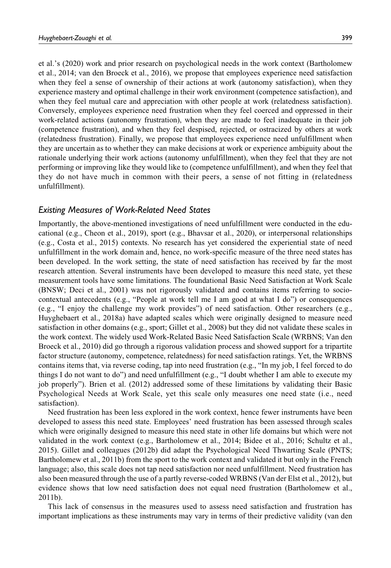et al.'s (2020) work and prior research on psychological needs in the work context (Bartholomew et al., 2014; van den Broeck et al., 2016), we propose that employees experience need satisfaction when they feel a sense of ownership of their actions at work (autonomy satisfaction), when they experience mastery and optimal challenge in their work environment (competence satisfaction), and when they feel mutual care and appreciation with other people at work (relatedness satisfaction). Conversely, employees experience need frustration when they feel coerced and oppressed in their work-related actions (autonomy frustration), when they are made to feel inadequate in their job (competence frustration), and when they feel despised, rejected, or ostracized by others at work (relatedness frustration). Finally, we propose that employees experience need unfulfillment when they are uncertain as to whether they can make decisions at work or experience ambiguity about the rationale underlying their work actions (autonomy unfulfillment), when they feel that they are not performing or improving like they would like to (competence unfulfillment), and when they feel that they do not have much in common with their peers, a sense of not fitting in (relatedness unfulfillment).

# *Existing Measures of Work-Related Need States*

Importantly, the above-mentioned investigations of need unfulfillment were conducted in the educational (e.g., Cheon et al., 2019), sport (e.g., Bhavsar et al., 2020), or interpersonal relationships (e.g., Costa et al., 2015) contexts. No research has yet considered the experiential state of need unfulfillment in the work domain and, hence, no work-specific measure of the three need states has been developed. In the work setting, the state of need satisfaction has received by far the most research attention. Several instruments have been developed to measure this need state, yet these measurement tools have some limitations. The foundational Basic Need Satisfaction at Work Scale (BNSW; Deci et al., 2001) was not rigorously validated and contains items referring to sociocontextual antecedents (e.g., "People at work tell me I am good at what I do") or consequences (e.g., "I enjoy the challenge my work provides") of need satisfaction. Other researchers (e.g., Huyghebaert et al., 2018a) have adapted scales which were originally designed to measure need satisfaction in other domains (e.g., sport; Gillet et al., 2008) but they did not validate these scales in the work context. The widely used Work-Related Basic Need Satisfaction Scale (WRBNS; Van den Broeck et al., 2010) did go through a rigorous validation process and showed support for a tripartite factor structure (autonomy, competence, relatedness) for need satisfaction ratings. Yet, the WRBNS contains items that, via reverse coding, tap into need frustration (e.g., "In my job, I feel forced to do things I do not want to do") and need unfulfillment (e.g., "I doubt whether I am able to execute my job properly"). Brien et al. (2012) addressed some of these limitations by validating their Basic Psychological Needs at Work Scale, yet this scale only measures one need state (i.e., need satisfaction).

Need frustration has been less explored in the work context, hence fewer instruments have been developed to assess this need state. Employees' need frustration has been assessed through scales which were originally designed to measure this need state in other life domains but which were not validated in the work context (e.g., Bartholomew et al., 2014; Bidee et al., 2016; Schultz et al., 2015). Gillet and colleagues (2012b) did adapt the Psychological Need Thwarting Scale (PNTS; Bartholomew et al., 2011b) from the sport to the work context and validated it but only in the French language; also, this scale does not tap need satisfaction nor need unfulfillment. Need frustration has also been measured through the use of a partly reverse-coded WRBNS (Van der Elst et al., 2012), but evidence shows that low need satisfaction does not equal need frustration (Bartholomew et al., 2011b).

This lack of consensus in the measures used to assess need satisfaction and frustration has important implications as these instruments may vary in terms of their predictive validity (van den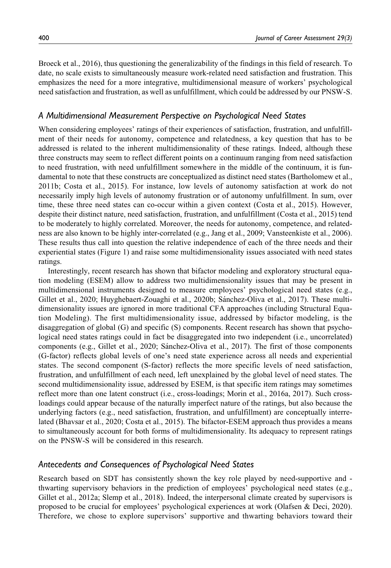Broeck et al., 2016), thus questioning the generalizability of the findings in this field of research. To date, no scale exists to simultaneously measure work-related need satisfaction and frustration. This emphasizes the need for a more integrative, multidimensional measure of workers' psychological need satisfaction and frustration, as well as unfulfillment, which could be addressed by our PNSW-S.

### *A Multidimensional Measurement Perspective on Psychological Need States*

When considering employees' ratings of their experiences of satisfaction, frustration, and unfulfillment of their needs for autonomy, competence and relatedness, a key question that has to be addressed is related to the inherent multidimensionality of these ratings. Indeed, although these three constructs may seem to reflect different points on a continuum ranging from need satisfaction to need frustration, with need unfulfillment somewhere in the middle of the continuum, it is fundamental to note that these constructs are conceptualized as distinct need states (Bartholomew et al., 2011b; Costa et al., 2015). For instance, low levels of autonomy satisfaction at work do not necessarily imply high levels of autonomy frustration or of autonomy unfulfillment. In sum, over time, these three need states can co-occur within a given context (Costa et al., 2015). However, despite their distinct nature, need satisfaction, frustration, and unfulfillment (Costa et al., 2015) tend to be moderately to highly correlated. Moreover, the needs for autonomy, competence, and relatedness are also known to be highly inter-correlated (e.g., Jang et al., 2009; Vansteenkiste et al., 2006). These results thus call into question the relative independence of each of the three needs and their experiential states (Figure 1) and raise some multidimensionality issues associated with need states ratings.

Interestingly, recent research has shown that bifactor modeling and exploratory structural equation modeling (ESEM) allow to address two multidimensionality issues that may be present in multidimensional instruments designed to measure employees' psychological need states (e.g., Gillet et al., 2020; Huyghebaert-Zouaghi et al., 2020b; Sánchez-Oliva et al., 2017). These multidimensionality issues are ignored in more traditional CFA approaches (including Structural Equation Modeling). The first multidimensionality issue, addressed by bifactor modeling, is the disaggregation of global (G) and specific (S) components. Recent research has shown that psychological need states ratings could in fact be disaggregated into two independent (i.e., uncorrelated) components (e.g., Gillet et al., 2020; Sánchez-Oliva et al., 2017). The first of those components (G-factor) reflects global levels of one's need state experience across all needs and experiential states. The second component (S-factor) reflects the more specific levels of need satisfaction, frustration, and unfulfillment of each need, left unexplained by the global level of need states. The second multidimensionality issue, addressed by ESEM, is that specific item ratings may sometimes reflect more than one latent construct (i.e., cross-loadings; Morin et al., 2016a, 2017). Such crossloadings could appear because of the naturally imperfect nature of the ratings, but also because the underlying factors (e.g., need satisfaction, frustration, and unfulfillment) are conceptually interrelated (Bhavsar et al., 2020; Costa et al., 2015). The bifactor-ESEM approach thus provides a means to simultaneously account for both forms of multidimensionality. Its adequacy to represent ratings on the PNSW-S will be considered in this research.

#### *Antecedents and Consequences of Psychological Need States*

Research based on SDT has consistently shown the key role played by need-supportive and thwarting supervisory behaviors in the prediction of employees' psychological need states (e.g., Gillet et al., 2012a; Slemp et al., 2018). Indeed, the interpersonal climate created by supervisors is proposed to be crucial for employees' psychological experiences at work (Olafsen & Deci, 2020). Therefore, we chose to explore supervisors' supportive and thwarting behaviors toward their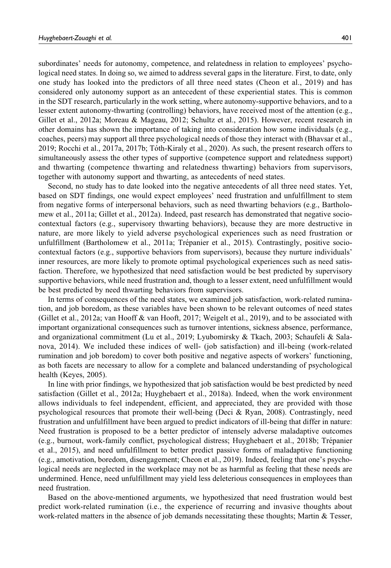subordinates' needs for autonomy, competence, and relatedness in relation to employees' psychological need states. In doing so, we aimed to address several gaps in the literature. First, to date, only one study has looked into the predictors of all three need states (Cheon et al., 2019) and has considered only autonomy support as an antecedent of these experiential states. This is common in the SDT research, particularly in the work setting, where autonomy-supportive behaviors, and to a lesser extent autonomy-thwarting (controlling) behaviors, have received most of the attention (e.g., Gillet et al., 2012a; Moreau & Mageau, 2012; Schultz et al., 2015). However, recent research in other domains has shown the importance of taking into consideration how some individuals (e.g., coaches, peers) may support all three psychological needs of those they interact with (Bhavsar et al., 2019; Rocchi et al., 2017a, 2017b; Tóth-Kiraly et al., 2020). As such, the present research offers to simultaneously assess the other types of supportive (competence support and relatedness support) and thwarting (competence thwarting and relatedness thwarting) behaviors from supervisors, together with autonomy support and thwarting, as antecedents of need states.

Second, no study has to date looked into the negative antecedents of all three need states. Yet, based on SDT findings, one would expect employees' need frustration and unfulfillment to stem from negative forms of interpersonal behaviors, such as need thwarting behaviors (e.g., Bartholomew et al., 2011a; Gillet et al., 2012a). Indeed, past research has demonstrated that negative sociocontextual factors (e.g., supervisory thwarting behaviors), because they are more destructive in nature, are more likely to yield adverse psychological experiences such as need frustration or unfulfillment (Bartholomew et al., 2011a; Trépanier et al., 2015). Contrastingly, positive sociocontextual factors (e.g., supportive behaviors from supervisors), because they nurture individuals' inner resources, are more likely to promote optimal psychological experiences such as need satisfaction. Therefore, we hypothesized that need satisfaction would be best predicted by supervisory supportive behaviors, while need frustration and, though to a lesser extent, need unfulfillment would be best predicted by need thwarting behaviors from supervisors.

In terms of consequences of the need states, we examined job satisfaction, work-related rumination, and job boredom, as these variables have been shown to be relevant outcomes of need states (Gillet et al., 2012a; van Hooff & van Hooft, 2017; Weigelt et al., 2019), and to be associated with important organizational consequences such as turnover intentions, sickness absence, performance, and organizational commitment (Lu et al., 2019; Lyubomirsky & Tkach, 2003; Schaufeli & Salanova, 2014). We included these indices of well- (job satisfaction) and ill-being (work-related rumination and job boredom) to cover both positive and negative aspects of workers' functioning, as both facets are necessary to allow for a complete and balanced understanding of psychological health (Keyes, 2005).

In line with prior findings, we hypothesized that job satisfaction would be best predicted by need satisfaction (Gillet et al., 2012a; Huyghebaert et al., 2018a). Indeed, when the work environment allows individuals to feel independent, efficient, and appreciated, they are provided with those psychological resources that promote their well-being (Deci & Ryan, 2008). Contrastingly, need frustration and unfulfillment have been argued to predict indicators of ill-being that differ in nature: Need frustration is proposed to be a better predictor of intensely adverse maladaptive outcomes (e.g., burnout, work-family conflict, psychological distress; Huyghebaert et al., 2018b; Trépanier et al., 2015), and need unfulfillment to better predict passive forms of maladaptive functioning (e.g., amotivation, boredom, disengagement; Cheon et al., 2019). Indeed, feeling that one's psychological needs are neglected in the workplace may not be as harmful as feeling that these needs are undermined. Hence, need unfulfillment may yield less deleterious consequences in employees than need frustration.

Based on the above-mentioned arguments, we hypothesized that need frustration would best predict work-related rumination (i.e., the experience of recurring and invasive thoughts about work-related matters in the absence of job demands necessitating these thoughts; Martin & Tesser,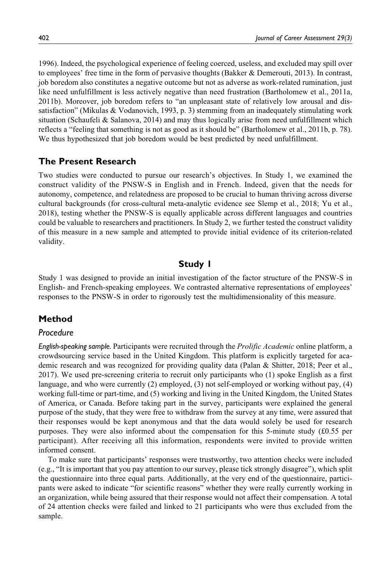1996). Indeed, the psychological experience of feeling coerced, useless, and excluded may spill over to employees' free time in the form of pervasive thoughts (Bakker & Demerouti, 2013). In contrast, job boredom also constitutes a negative outcome but not as adverse as work-related rumination, just like need unfulfillment is less actively negative than need frustration (Bartholomew et al., 2011a, 2011b). Moreover, job boredom refers to "an unpleasant state of relatively low arousal and dissatisfaction" (Mikulas & Vodanovich, 1993, p. 3) stemming from an inadequately stimulating work situation (Schaufeli & Salanova, 2014) and may thus logically arise from need unfulfillment which reflects a "feeling that something is not as good as it should be" (Bartholomew et al., 2011b, p. 78). We thus hypothesized that job boredom would be best predicted by need unfulfillment.

### **The Present Research**

Two studies were conducted to pursue our research's objectives. In Study 1, we examined the construct validity of the PNSW-S in English and in French. Indeed, given that the needs for autonomy, competence, and relatedness are proposed to be crucial to human thriving across diverse cultural backgrounds (for cross-cultural meta-analytic evidence see Slemp et al., 2018; Yu et al., 2018), testing whether the PNSW-S is equally applicable across different languages and countries could be valuable to researchers and practitioners. In Study 2, we further tested the construct validity of this measure in a new sample and attempted to provide initial evidence of its criterion-related validity.

# **Study 1**

Study 1 was designed to provide an initial investigation of the factor structure of the PNSW-S in English- and French-speaking employees. We contrasted alternative representations of employees' responses to the PNSW-S in order to rigorously test the multidimensionality of this measure.

## **Method**

#### *Procedure*

*English-speaking sample.* Participants were recruited through the Prolific Academic online platform, a crowdsourcing service based in the United Kingdom. This platform is explicitly targeted for academic research and was recognized for providing quality data (Palan & Shitter, 2018; Peer et al., 2017). We used pre-screening criteria to recruit only participants who (1) spoke English as a first language, and who were currently (2) employed, (3) not self-employed or working without pay, (4) working full-time or part-time, and (5) working and living in the United Kingdom, the United States of America, or Canada. Before taking part in the survey, participants were explained the general purpose of the study, that they were free to withdraw from the survey at any time, were assured that their responses would be kept anonymous and that the data would solely be used for research purposes. They were also informed about the compensation for this 5-minute study (£0.55 per participant). After receiving all this information, respondents were invited to provide written informed consent.

To make sure that participants' responses were trustworthy, two attention checks were included (e.g., "It is important that you pay attention to our survey, please tick strongly disagree"), which split the questionnaire into three equal parts. Additionally, at the very end of the questionnaire, participants were asked to indicate "for scientific reasons" whether they were really currently working in an organization, while being assured that their response would not affect their compensation. A total of 24 attention checks were failed and linked to 21 participants who were thus excluded from the sample.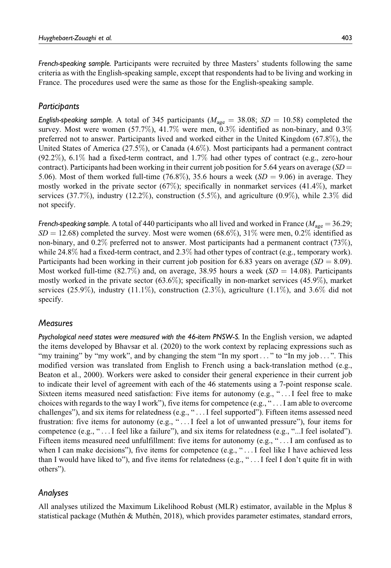*French-speaking sample.* Participants were recruited by three Masters' students following the same criteria as with the English-speaking sample, except that respondents had to be living and working in France. The procedures used were the same as those for the English-speaking sample.

### *Participants*

*English-speaking sample.* A total of 345 participants ( $M_{\text{age}} = 38.08$ ;  $SD = 10.58$ ) completed the survey. Most were women (57.7%), 41.7% were men,  $0.3\%$  identified as non-binary, and  $0.3\%$ preferred not to answer. Participants lived and worked either in the United Kingdom (67.8%), the United States of America (27.5%), or Canada (4.6%). Most participants had a permanent contract  $(92.2\%)$ , 6.1% had a fixed-term contract, and 1.7% had other types of contract (e.g., zero-hour contract). Participants had been working in their current job position for 5.64 years on average ( $SD =$ 5.06). Most of them worked full-time (76.8%), 35.6 hours a week ( $SD = 9.06$ ) in average. They mostly worked in the private sector (67%); specifically in nonmarket services (41.4%), market services  $(37.7\%)$ , industry  $(12.2\%)$ , construction  $(5.5\%)$ , and agriculture  $(0.9\%)$ , while 2.3% did not specify.

*French-speaking sample.* A total of 440 participants who all lived and worked in France ( $M_{\text{age}} = 36.29$ ;  $SD = 12.68$ ) completed the survey. Most were women (68.6%), 31% were men, 0.2% identified as non-binary, and 0.2% preferred not to answer. Most participants had a permanent contract (73%), while 24.8% had a fixed-term contract, and 2.3% had other types of contract (e.g., temporary work). Participants had been working in their current job position for 6.83 years on average  $(SD = 8.09)$ . Most worked full-time (82.7%) and, on average, 38.95 hours a week ( $SD = 14.08$ ). Participants mostly worked in the private sector (63.6%); specifically in non-market services (45.9%), market services (25.9%), industry (11.1%), construction (2.3%), agriculture (1.1%), and 3.6% did not specify.

## *Measures*

*Psychological need states were measured with the 46-item PNSW-S.* In the English version, we adapted the items developed by Bhavsar et al. (2020) to the work context by replacing expressions such as "my training" by "my work", and by changing the stem "In my sport ..." to "In my job ...". This modified version was translated from English to French using a back-translation method (e.g., Beaton et al., 2000). Workers were asked to consider their general experience in their current job to indicate their level of agreement with each of the 46 statements using a 7-point response scale. Sixteen items measured need satisfaction: Five items for autonomy (e.g., " ... I feel free to make choices with regards to the way I work"), five items for competence (e.g., " ... I am able to overcome challenges"), and six items for relatedness (e.g., " ... I feel supported"). Fifteen items assessed need frustration: five items for autonomy (e.g., " ... I feel a lot of unwanted pressure"), four items for competence (e.g., " ... I feel like a failure"), and six items for relatedness (e.g., "...I feel isolated"). Fifteen items measured need unfulfillment: five items for autonomy (e.g., " ... I am confused as to when I can make decisions"), five items for competence (e.g., "... I feel like I have achieved less than I would have liked to"), and five items for relatedness (e.g., " ... I feel I don't quite fit in with others").

### *Analyses*

All analyses utilized the Maximum Likelihood Robust (MLR) estimator, available in the Mplus 8 statistical package (Muthén & Muthén, 2018), which provides parameter estimates, standard errors,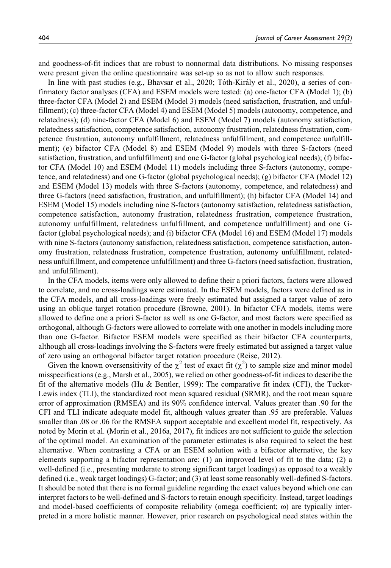and goodness-of-fit indices that are robust to nonnormal data distributions. No missing responses were present given the online questionnaire was set-up so as not to allow such responses.

In line with past studies (e.g., Bhavsar et al., 2020; Tôth-Király et al., 2020), a series of confirmatory factor analyses (CFA) and ESEM models were tested: (a) one-factor CFA (Model 1); (b) three-factor CFA (Model 2) and ESEM (Model 3) models (need satisfaction, frustration, and unfulfillment); (c) three-factor CFA (Model 4) and ESEM (Model 5) models (autonomy, competence, and relatedness); (d) nine-factor CFA (Model 6) and ESEM (Model 7) models (autonomy satisfaction, relatedness satisfaction, competence satisfaction, autonomy frustration, relatedness frustration, competence frustration, autonomy unfulfillment, relatedness unfulfillment, and competence unfulfillment); (e) bifactor CFA (Model 8) and ESEM (Model 9) models with three S-factors (need satisfaction, frustration, and unfulfillment) and one G-factor (global psychological needs); (f) bifactor CFA (Model 10) and ESEM (Model 11) models including three S-factors (autonomy, competence, and relatedness) and one G-factor (global psychological needs); (g) bifactor CFA (Model 12) and ESEM (Model 13) models with three S-factors (autonomy, competence, and relatedness) and three G-factors (need satisfaction, frustration, and unfulfillment); (h) bifactor CFA (Model 14) and ESEM (Model 15) models including nine S-factors (autonomy satisfaction, relatedness satisfaction, competence satisfaction, autonomy frustration, relatedness frustration, competence frustration, autonomy unfulfillment, relatedness unfulfillment, and competence unfulfillment) and one Gfactor (global psychological needs); and (i) bifactor CFA (Model 16) and ESEM (Model 17) models with nine S-factors (autonomy satisfaction, relatedness satisfaction, competence satisfaction, autonomy frustration, relatedness frustration, competence frustration, autonomy unfulfillment, relatedness unfulfillment, and competence unfulfillment) and three G-factors (need satisfaction, frustration, and unfulfillment).

In the CFA models, items were only allowed to define their a priori factors, factors were allowed to correlate, and no cross-loadings were estimated. In the ESEM models, factors were defined as in the CFA models, and all cross-loadings were freely estimated but assigned a target value of zero using an oblique target rotation procedure (Browne, 2001). In bifactor CFA models, items were allowed to define one a priori S-factor as well as one G-factor, and most factors were specified as orthogonal, although G-factors were allowed to correlate with one another in models including more than one G-factor. Bifactor ESEM models were specified as their bifactor CFA counterparts, although all cross-loadings involving the S-factors were freely estimated but assigned a target value of zero using an orthogonal bifactor target rotation procedure (Reise, 2012).

Given the known oversensitivity of the  $\chi^2$  test of exact fit  $(\chi^2)$  to sample size and minor model misspecifications (e.g., Marsh et al., 2005), we relied on other goodness-of-fit indices to describe the fit of the alternative models (Hu & Bentler, 1999): The comparative fit index (CFI), the Tucker-Lewis index (TLI), the standardized root mean squared residual (SRMR), and the root mean square error of approximation (RMSEA) and its 90% confidence interval. Values greater than .90 for the CFI and TLI indicate adequate model fit, although values greater than .95 are preferable. Values smaller than .08 or .06 for the RMSEA support acceptable and excellent model fit, respectively. As noted by Morin et al. (Morin et al., 2016a, 2017), fit indices are not sufficient to guide the selection of the optimal model. An examination of the parameter estimates is also required to select the best alternative. When contrasting a CFA or an ESEM solution with a bifactor alternative, the key elements supporting a bifactor representation are: (1) an improved level of fit to the data; (2) a well-defined (i.e., presenting moderate to strong significant target loadings) as opposed to a weakly defined (i.e., weak target loadings) G-factor; and (3) at least some reasonably well-defined S-factors. It should be noted that there is no formal guideline regarding the exact values beyond which one can interpret factors to be well-defined and S-factors to retain enough specificity. Instead, target loadings and model-based coefficients of composite reliability (omega coefficient;  $\omega$ ) are typically interpreted in a more holistic manner. However, prior research on psychological need states within the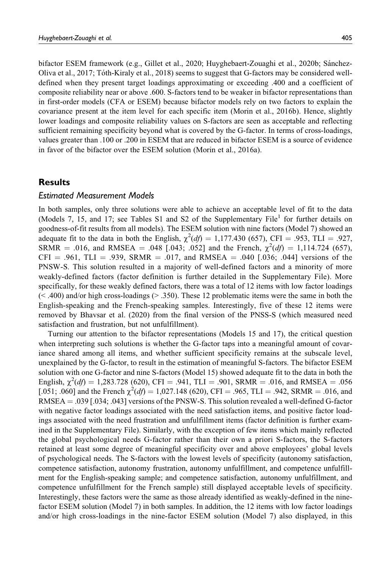bifactor ESEM framework (e.g., Gillet et al., 2020; Huyghebaert-Zouaghi et al., 2020b; Sánchez-Oliva et al., 2017; Tóth-Kiraly et al., 2018) seems to suggest that G-factors may be considered welldefined when they present target loadings approximating or exceeding .400 and a coefficient of composite reliability near or above .600. S-factors tend to be weaker in bifactor representations than in first-order models (CFA or ESEM) because bifactor models rely on two factors to explain the covariance present at the item level for each specific item (Morin et al., 2016b). Hence, slightly lower loadings and composite reliability values on S-factors are seen as acceptable and reflecting sufficient remaining specificity beyond what is covered by the G-factor. In terms of cross-loadings, values greater than .100 or .200 in ESEM that are reduced in bifactor ESEM is a source of evidence in favor of the bifactor over the ESEM solution (Morin et al., 2016a).

## **Results**

### *Estimated Measurement Models*

In both samples, only three solutions were able to achieve an acceptable level of fit to the data (Models 7, 15, and 17; see Tables S1 and S2 of the Supplementary File<sup>1</sup> for further details on goodness-of-fit results from all models). The ESEM solution with nine factors (Model 7) showed an adequate fit to the data in both the English,  $\chi^2(df) = 1,177.430$  (657), CFI = .953, TLI = .927, SRMR = .016, and RMSEA = .048 [.043; .052] and the French,  $\chi^2(df) = 1,114.724$  (657),  $CFI = .961$ , TLI = .939, SRMR = .017, and RMSEA = .040 [.036; .044] versions of the PNSW-S. This solution resulted in a majority of well-defined factors and a minority of more weakly-defined factors (factor definition is further detailed in the Supplementary File). More specifically, for these weakly defined factors, there was a total of 12 items with low factor loadings (< .400) and/or high cross-loadings (> .350). These 12 problematic items were the same in both the English-speaking and the French-speaking samples. Interestingly, five of these 12 items were removed by Bhavsar et al. (2020) from the final version of the PNSS-S (which measured need satisfaction and frustration, but not unfulfillment).

Turning our attention to the bifactor representations (Models 15 and 17), the critical question when interpreting such solutions is whether the G-factor taps into a meaningful amount of covariance shared among all items, and whether sufficient specificity remains at the subscale level, unexplained by the G-factor, to result in the estimation of meaningful S-factors. The bifactor ESEM solution with one G-factor and nine S-factors (Model 15) showed adequate fit to the data in both the English,  $\chi^2(df) = 1,283.728$  (620), CFI = .941, TLI = .901, SRMR = .016, and RMSEA = .056 [.051; .060] and the French  $\chi^2(df) = 1,027.148$  (620), CFI = .965, TLI = .942, SRMR = .016, and  $RMSEA = .039$  [.034; .043] versions of the PNSW-S. This solution revealed a well-defined G-factor with negative factor loadings associated with the need satisfaction items, and positive factor loadings associated with the need frustration and unfulfillment items (factor definition is further examined in the Supplementary File). Similarly, with the exception of few items which mainly reflected the global psychological needs G-factor rather than their own a priori S-factors, the S-factors retained at least some degree of meaningful specificity over and above employees' global levels of psychological needs. The S-factors with the lowest levels of specificity (autonomy satisfaction, competence satisfaction, autonomy frustration, autonomy unfulfillment, and competence unfulfillment for the English-speaking sample; and competence satisfaction, autonomy unfulfillment, and competence unfulfillment for the French sample) still displayed acceptable levels of specificity. Interestingly, these factors were the same as those already identified as weakly-defined in the ninefactor ESEM solution (Model 7) in both samples. In addition, the 12 items with low factor loadings and/or high cross-loadings in the nine-factor ESEM solution (Model 7) also displayed, in this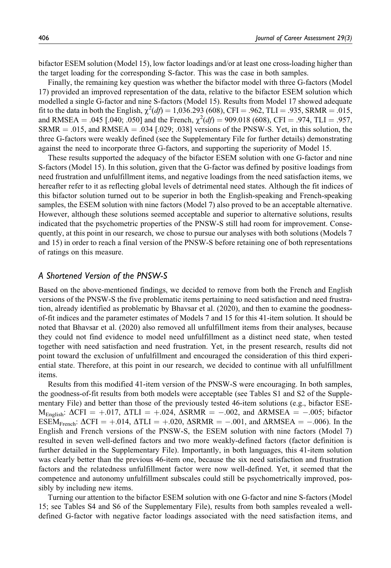bifactor ESEM solution (Model 15), low factor loadings and/or at least one cross-loading higher than the target loading for the corresponding S-factor. This was the case in both samples.

Finally, the remaining key question was whether the bifactor model with three G-factors (Model 17) provided an improved representation of the data, relative to the bifactor ESEM solution which modelled a single G-factor and nine S-factors (Model 15). Results from Model 17 showed adequate fit to the data in both the English,  $\chi^2(df) = 1,036.293$  (608), CFI = .962, TLI = .935, SRMR = .015, and RMSEA = .045 [.040; .050] and the French,  $\chi^2(df) = 909.018$  (608), CFI = .974, TLI = .957,  $SRMR = .015$ , and  $RMSEA = .034$  [.029; .038] versions of the PNSW-S. Yet, in this solution, the three G-factors were weakly defined (see the Supplementary File for further details) demonstrating against the need to incorporate three G-factors, and supporting the superiority of Model 15.

These results supported the adequacy of the bifactor ESEM solution with one G-factor and nine S-factors (Model 15). In this solution, given that the G-factor was defined by positive loadings from need frustration and unfulfillment items, and negative loadings from the need satisfaction items, we hereafter refer to it as reflecting global levels of detrimental need states. Although the fit indices of this bifactor solution turned out to be superior in both the English-speaking and French-speaking samples, the ESEM solution with nine factors (Model 7) also proved to be an acceptable alternative. However, although these solutions seemed acceptable and superior to alternative solutions, results indicated that the psychometric properties of the PNSW-S still had room for improvement. Consequently, at this point in our research, we chose to pursue our analyses with both solutions (Models 7 and 15) in order to reach a final version of the PNSW-S before retaining one of both representations of ratings on this measure.

### *A Shortened Version of the PNSW-S*

Based on the above-mentioned findings, we decided to remove from both the French and English versions of the PNSW-S the five problematic items pertaining to need satisfaction and need frustration, already identified as problematic by Bhavsar et al. (2020), and then to examine the goodnessof-fit indices and the parameter estimates of Models 7 and 15 for this 41-item solution. It should be noted that Bhavsar et al. (2020) also removed all unfulfillment items from their analyses, because they could not find evidence to model need unfulfillment as a distinct need state, when tested together with need satisfaction and need frustration. Yet, in the present research, results did not point toward the exclusion of unfulfillment and encouraged the consideration of this third experiential state. Therefore, at this point in our research, we decided to continue with all unfulfillment items.

Results from this modified 41-item version of the PNSW-S were encouraging. In both samples, the goodness-of-fit results from both models were acceptable (see Tables S1 and S2 of the Supplementary File) and better than those of the previously tested 46-item solutions (e.g., bifactor ESE- $M_{\text{English: }\Delta \text{CFI} = +0.017, \Delta \text{TLI} = +0.024, \Delta \text{SRMR} = -0.002, \text{ and }\Delta \text{RMSEA} = -0.005; \text{ bifactor}$ ESEM<sub>French</sub>:  $\Delta$ CFI = +.014,  $\Delta$ TLI = +.020,  $\Delta$ SRMR = -.001, and  $\Delta$ RMSEA = -.006). In the English and French versions of the PNSW-S, the ESEM solution with nine factors (Model 7) resulted in seven well-defined factors and two more weakly-defined factors (factor definition is further detailed in the Supplementary File). Importantly, in both languages, this 41-item solution was clearly better than the previous 46-item one, because the six need satisfaction and frustration factors and the relatedness unfulfillment factor were now well-defined. Yet, it seemed that the competence and autonomy unfulfillment subscales could still be psychometrically improved, possibly by including new items.

Turning our attention to the bifactor ESEM solution with one G-factor and nine S-factors (Model 15; see Tables S4 and S6 of the Supplementary File), results from both samples revealed a welldefined G-factor with negative factor loadings associated with the need satisfaction items, and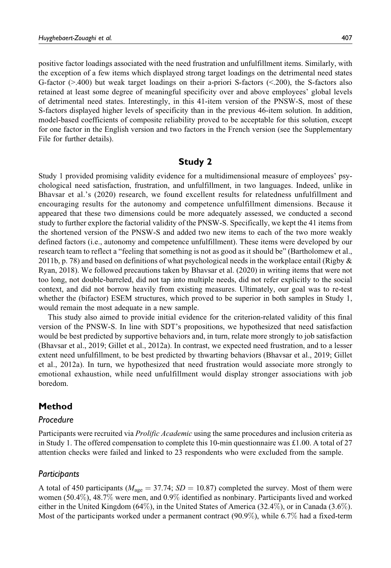positive factor loadings associated with the need frustration and unfulfillment items. Similarly, with the exception of a few items which displayed strong target loadings on the detrimental need states G-factor (>.400) but weak target loadings on their a-priori S-factors (<.200), the S-factors also retained at least some degree of meaningful specificity over and above employees' global levels of detrimental need states. Interestingly, in this 41-item version of the PNSW-S, most of these S-factors displayed higher levels of specificity than in the previous 46-item solution. In addition, model-based coefficients of composite reliability proved to be acceptable for this solution, except for one factor in the English version and two factors in the French version (see the Supplementary File for further details).

# **Study 2**

Study 1 provided promising validity evidence for a multidimensional measure of employees' psychological need satisfaction, frustration, and unfulfillment, in two languages. Indeed, unlike in Bhavsar et al.'s (2020) research, we found excellent results for relatedness unfulfillment and encouraging results for the autonomy and competence unfulfillment dimensions. Because it appeared that these two dimensions could be more adequately assessed, we conducted a second study to further explore the factorial validity of the PNSW-S. Specifically, we kept the 41 items from the shortened version of the PNSW-S and added two new items to each of the two more weakly defined factors (i.e., autonomy and competence unfulfillment). These items were developed by our research team to reflect a "feeling that something is not as good as it should be" (Bartholomew et al., 2011b, p. 78) and based on definitions of what psychological needs in the workplace entail (Rigby  $\&$ Ryan, 2018). We followed precautions taken by Bhavsar et al. (2020) in writing items that were not too long, not double-barreled, did not tap into multiple needs, did not refer explicitly to the social context, and did not borrow heavily from existing measures. Ultimately, our goal was to re-test whether the (bifactor) ESEM structures, which proved to be superior in both samples in Study 1, would remain the most adequate in a new sample.

This study also aimed to provide initial evidence for the criterion-related validity of this final version of the PNSW-S. In line with SDT's propositions, we hypothesized that need satisfaction would be best predicted by supportive behaviors and, in turn, relate more strongly to job satisfaction (Bhavsar et al., 2019; Gillet et al., 2012a). In contrast, we expected need frustration, and to a lesser extent need unfulfillment, to be best predicted by thwarting behaviors (Bhavsar et al., 2019; Gillet et al., 2012a). In turn, we hypothesized that need frustration would associate more strongly to emotional exhaustion, while need unfulfillment would display stronger associations with job boredom.

# **Method**

#### *Procedure*

Participants were recruited via *Prolific Academic* using the same procedures and inclusion criteria as in Study 1. The offered compensation to complete this 10-min questionnaire was £1.00. A total of 27 attention checks were failed and linked to 23 respondents who were excluded from the sample.

#### *Participants*

A total of 450 participants ( $M_{\text{age}} = 37.74$ ;  $SD = 10.87$ ) completed the survey. Most of them were women (50.4%), 48.7% were men, and 0.9% identified as nonbinary. Participants lived and worked either in the United Kingdom (64%), in the United States of America (32.4%), or in Canada (3.6%). Most of the participants worked under a permanent contract (90.9%), while 6.7% had a fixed-term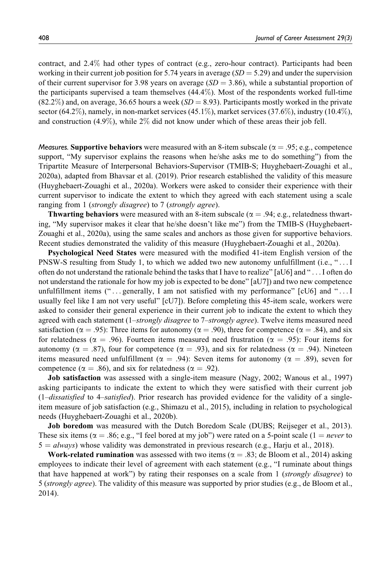contract, and 2.4% had other types of contract (e.g., zero-hour contract). Participants had been working in their current job position for 5.74 years in average  $(SD = 5.29)$  and under the supervision of their current supervisor for 3.98 years on average  $(SD = 3.86)$ , while a substantial proportion of the participants supervised a team themselves (44.4%). Most of the respondents worked full-time  $(82.2\%)$  and, on average, 36.65 hours a week  $(SD = 8.93)$ . Participants mostly worked in the private sector (64.2%), namely, in non-market services (45.1%), market services (37.6%), industry (10.4%), and construction (4.9%), while 2% did not know under which of these areas their job fell.

*Measures.* Supportive behaviors were measured with an 8-item subscale ( $\alpha = .95$ ; e.g., competence support, "My supervisor explains the reasons when he/she asks me to do something") from the Tripartite Measure of Interpersonal Behaviors-Supervisor (TMIB-S; Huyghebaert-Zouaghi et al., 2020a), adapted from Bhavsar et al. (2019). Prior research established the validity of this measure (Huyghebaert-Zouaghi et al., 2020a). Workers were asked to consider their experience with their current supervisor to indicate the extent to which they agreed with each statement using a scale ranging from 1 (strongly disagree) to 7 (strongly agree).

**Thwarting behaviors** were measured with an 8-item subscale ( $\alpha = .94$ ; e.g., relatedness thwarting, "My supervisor makes it clear that he/she doesn't like me") from the TMIB-S (Huyghebaert-Zouaghi et al., 2020a), using the same scales and anchors as those given for supportive behaviors. Recent studies demonstrated the validity of this measure (Huyghebaert-Zouaghi et al., 2020a).

Psychological Need States were measured with the modified 41-item English version of the PNSW-S resulting from Study 1, to which we added two new autonomy unfulfillment (i.e., " ... I often do not understand the rationale behind the tasks that I have to realize" [aU6] and " ... I often do not understand the rationale for how my job is expected to be done" [aU7]) and two new competence unfulfillment items ("...generally, I am not satisfied with my performance" [cU6] and "...I usually feel like I am not very useful" [cU7]). Before completing this 45-item scale, workers were asked to consider their general experience in their current job to indicate the extent to which they agreed with each statement (1–strongly disagree to 7–strongly agree). Twelve items measured need satisfaction ( $\alpha = .95$ ): Three items for autonomy ( $\alpha = .90$ ), three for competence ( $\alpha = .84$ ), and six for relatedness ( $\alpha = .96$ ). Fourteen items measured need frustration ( $\alpha = .95$ ): Four items for autonomy ( $\alpha = .87$ ), four for competence ( $\alpha = .93$ ), and six for relatedness ( $\alpha = .94$ ). Nineteen items measured need unfulfillment ( $\alpha = .94$ ): Seven items for autonomy ( $\alpha = .89$ ), seven for competence ( $\alpha = .86$ ), and six for relatedness ( $\alpha = .92$ ).

Job satisfaction was assessed with a single-item measure (Nagy, 2002; Wanous et al., 1997) asking participants to indicate the extent to which they were satisfied with their current job (1–dissatisfied to 4–satisfied). Prior research has provided evidence for the validity of a singleitem measure of job satisfaction (e.g., Shimazu et al., 2015), including in relation to psychological needs (Huyghebaert-Zouaghi et al., 2020b).

Job boredom was measured with the Dutch Boredom Scale (DUBS; Reijseger et al., 2013). These six items ( $\alpha = .86$ ; e.g., "I feel bored at my job") were rated on a 5-point scale ( $1 = never$  to  $5 = always$ ) whose validity was demonstrated in previous research (e.g., Harju et al., 2018).

**Work-related rumination** was assessed with two items ( $\alpha = .83$ ; de Bloom et al., 2014) asking employees to indicate their level of agreement with each statement (e.g., "I ruminate about things that have happened at work") by rating their responses on a scale from 1 (strongly disagree) to 5 (strongly agree). The validity of this measure was supported by prior studies (e.g., de Bloom et al., 2014).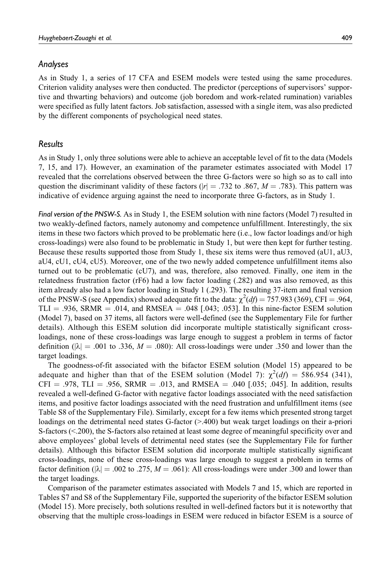#### *Analyses*

As in Study 1, a series of 17 CFA and ESEM models were tested using the same procedures. Criterion validity analyses were then conducted. The predictor (perceptions of supervisors' supportive and thwarting behaviors) and outcome (job boredom and work-related rumination) variables were specified as fully latent factors. Job satisfaction, assessed with a single item, was also predicted by the different components of psychological need states.

#### *Results*

As in Study 1, only three solutions were able to achieve an acceptable level of fit to the data (Models 7, 15, and 17). However, an examination of the parameter estimates associated with Model 17 revealed that the correlations observed between the three G-factors were so high so as to call into question the discriminant validity of these factors ( $|r| = .732$  to .867,  $M = .783$ ). This pattern was indicative of evidence arguing against the need to incorporate three G-factors, as in Study 1.

*Final version of the PNSW-S.* As in Study 1, the ESEM solution with nine factors (Model 7) resulted in two weakly-defined factors, namely autonomy and competence unfulfillment. Interestingly, the six items in these two factors which proved to be problematic here (i.e., low factor loadings and/or high cross-loadings) were also found to be problematic in Study 1, but were then kept for further testing. Because these results supported those from Study 1, these six items were thus removed (aU1, aU3, aU4, cU1, cU4, cU5). Moreover, one of the two newly added competence unfulfillment items also turned out to be problematic (cU7), and was, therefore, also removed. Finally, one item in the relatedness frustration factor (rF6) had a low factor loading (.282) and was also removed, as this item already also had a low factor loading in Study 1 (.293). The resulting 37-item and final version of the PNSW-S (see Appendix) showed adequate fit to the data:  $\chi^2(df) = 757.983$  (369), CFI = .964,  $TLI = .936$ , SRMR = .014, and RMSEA = .048 [.043; .053]. In this nine-factor ESEM solution (Model 7), based on 37 items, all factors were well-defined (see the Supplementary File for further details). Although this ESEM solution did incorporate multiple statistically significant crossloadings, none of these cross-loadings was large enough to suggest a problem in terms of factor definition ( $|\lambda| = .001$  to .336, M = .080): All cross-loadings were under .350 and lower than the target loadings.

The goodness-of-fit associated with the bifactor ESEM solution (Model 15) appeared to be adequate and higher than that of the ESEM solution (Model 7):  $\chi^2(df) = 586.954$  (341),  $CFI = .978$ ,  $TLI = .956$ ,  $SRMR = .013$ , and  $RMSEA = .040$  [.035; .045]. In addition, results revealed a well-defined G-factor with negative factor loadings associated with the need satisfaction items, and positive factor loadings associated with the need frustration and unfulfillment items (see Table S8 of the Supplementary File). Similarly, except for a few items which presented strong target loadings on the detrimental need states G-factor (>.400) but weak target loadings on their a-priori S-factors (<.200), the S-factors also retained at least some degree of meaningful specificity over and above employees' global levels of detrimental need states (see the Supplementary File for further details). Although this bifactor ESEM solution did incorporate multiple statistically significant cross-loadings, none of these cross-loadings was large enough to suggest a problem in terms of factor definition ( $|\lambda| = .002$  to .275,  $M = .061$ ): All cross-loadings were under .300 and lower than the target loadings.

Comparison of the parameter estimates associated with Models 7 and 15, which are reported in Tables S7 and S8 of the Supplementary File, supported the superiority of the bifactor ESEM solution (Model 15). More precisely, both solutions resulted in well-defined factors but it is noteworthy that observing that the multiple cross-loadings in ESEM were reduced in bifactor ESEM is a source of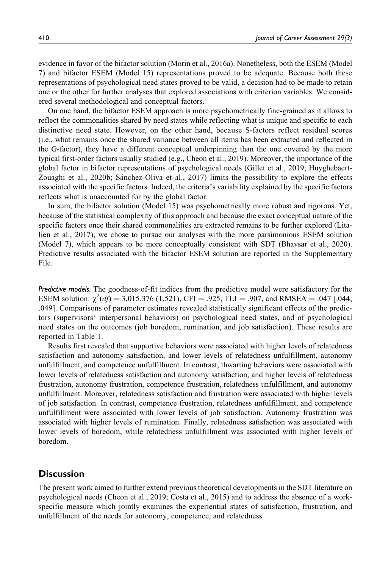evidence in favor of the bifactor solution (Morin et al., 2016a). Nonetheless, both the ESEM (Model 7) and bifactor ESEM (Model 15) representations proved to be adequate. Because both these representations of psychological need states proved to be valid, a decision had to be made to retain one or the other for further analyses that explored associations with criterion variables. We considered several methodological and conceptual factors.

On one hand, the bifactor ESEM approach is more psychometrically fine-grained as it allows to reflect the commonalities shared by need states while reflecting what is unique and specific to each distinctive need state. However, on the other hand, because S-factors reflect residual scores (i.e., what remains once the shared variance between all items has been extracted and reflected in the G-factor), they have a different conceptual underpinning than the one covered by the more typical first-order factors usually studied (e.g., Cheon et al., 2019). Moreover, the importance of the global factor in bifactor representations of psychological needs (Gillet et al., 2019; Huyghebaert-Zouaghi et al., 2020b; Sánchez-Oliva et al., 2017) limits the possibility to explore the effects associated with the specific factors. Indeed, the criteria's variability explained by the specific factors reflects what is unaccounted for by the global factor.

In sum, the bifactor solution (Model 15) was psychometrically more robust and rigorous. Yet, because of the statistical complexity of this approach and because the exact conceptual nature of the specific factors once their shared commonalities are extracted remains to be further explored (Litalien et al., 2017), we chose to pursue our analyses with the more parsimonious ESEM solution (Model 7), which appears to be more conceptually consistent with SDT (Bhavsar et al., 2020). Predictive results associated with the bifactor ESEM solution are reported in the Supplementary File.

*Predictive models.* The goodness-of-fit indices from the predictive model were satisfactory for the ESEM solution:  $\chi^2(df) = 3,015.376 (1,521)$ , CFI = .925, TLI = .907, and RMSEA = .047 [.044; .049]. Comparisons of parameter estimates revealed statistically significant effects of the predictors (supervisors' interpersonal behaviors) on psychological need states, and of psychological need states on the outcomes (job boredom, rumination, and job satisfaction). These results are reported in Table 1.

Results first revealed that supportive behaviors were associated with higher levels of relatedness satisfaction and autonomy satisfaction, and lower levels of relatedness unfulfillment, autonomy unfulfillment, and competence unfulfillment. In contrast, thwarting behaviors were associated with lower levels of relatedness satisfaction and autonomy satisfaction, and higher levels of relatedness frustration, autonomy frustration, competence frustration, relatedness unfulfillment, and autonomy unfulfillment. Moreover, relatedness satisfaction and frustration were associated with higher levels of job satisfaction. In contrast, competence frustration, relatedness unfulfillment, and competence unfulfillment were associated with lower levels of job satisfaction. Autonomy frustration was associated with higher levels of rumination. Finally, relatedness satisfaction was associated with lower levels of boredom, while relatedness unfulfillment was associated with higher levels of boredom.

#### **Discussion**

The present work aimed to further extend previous theoretical developments in the SDT literature on psychological needs (Cheon et al., 2019; Costa et al., 2015) and to address the absence of a workspecific measure which jointly examines the experiential states of satisfaction, frustration, and unfulfillment of the needs for autonomy, competence, and relatedness.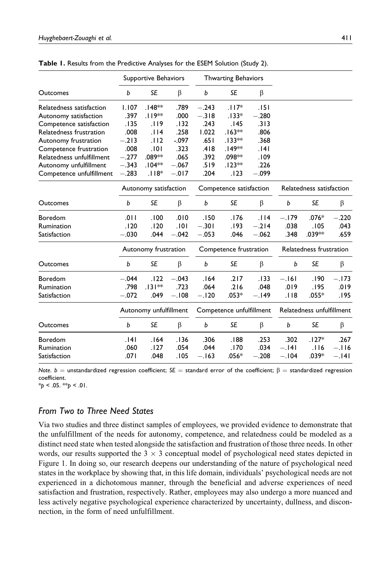|                           | Supportive Behaviors   |                       |          | <b>Thwarting Behaviors</b> |           |         |                           |           |         |
|---------------------------|------------------------|-----------------------|----------|----------------------------|-----------|---------|---------------------------|-----------|---------|
| Outcomes                  | b                      | <b>SE</b>             | β        | b                          | SE        | β       |                           |           |         |
| Relatedness satisfaction  | 1.107                  | $.148**$              | .789     | $-.243$                    | $.117*$   | . 151   |                           |           |         |
| Autonomy satisfaction     | .397                   | .∣ 9**                | .000     | $-.318$                    | $.133*$   | $-.280$ |                           |           |         |
| Competence satisfaction   | .135                   | .119                  | .132     | .243                       | .145      | .313    |                           |           |         |
| Relatedness frustration   | .008                   | .114                  | .258     | 1.022                      | $.163**$  | .806    |                           |           |         |
| Autonomy frustration      | $-.213$                | .112                  | $-0.097$ | .651                       | $.133**$  | .368    |                           |           |         |
| Competence frustration    | .008                   | .101                  | .323     | .418                       | .∣49∗∗    | .141    |                           |           |         |
| Relatedness unfulfillment | $-.277$                | .089**                | .065     | .392                       | .098**    | .109    |                           |           |         |
| Autonomy unfulfillment    | $-.343$                | $.104**$              | $-.067$  | .519                       | $.123**$  | .226    |                           |           |         |
| Competence unfulfillment  | $-.283$                | $.118*$               | $-.017$  | .204                       | .123      | $-.099$ |                           |           |         |
|                           |                        | Autonomy satisfaction |          | Competence satisfaction    |           |         | Relatedness satisfaction  |           |         |
| Outcomes                  | b                      | <b>SE</b>             | β        | b                          | <b>SE</b> | β       | b                         | SE        | β       |
| Boredom                   | .011                   | .100                  | .010     | .150                       | .176      | .114    | $-.179$                   | $.076*$   | $-.220$ |
| Rumination                | .120                   | .120                  | .101     | $-.301$                    | .193      | $-.214$ | .038                      | .105      | .043    |
| Satisfaction              | $-.030$                | .044                  | $-.042$  | $-.053$                    | .046      | $-.062$ | .348                      | .039**    | .659    |
|                           | Autonomy frustration   |                       |          | Competence frustration     |           |         | Relatedness frustration   |           |         |
| <b>Outcomes</b>           | b                      | <b>SE</b>             | β        | b                          | <b>SE</b> | β       | b                         | <b>SE</b> | β       |
| Boredom                   | $-.044$                | .122                  | $-.043$  | 164.                       | .217      | .133    | $-.161$                   | .190      | $-.173$ |
| Rumination                | .798                   | $.131**$              | .723     | .064                       | .216      | .048    | .019                      | .195      | .019    |
| Satisfaction              | $-.072$                | .049                  | $-.108$  | $-.120$                    | $.053*$   | $-.149$ | .118                      | $.055*$   | .195    |
|                           | Autonomy unfulfillment |                       |          | Competence unfulfillment   |           |         | Relatedness unfulfillment |           |         |
| Outcomes                  | b                      | <b>SE</b>             | β        | b                          | <b>SE</b> | β       | b                         | <b>SE</b> | β       |
| Boredom                   | .141                   | 164.                  | .136     | .306                       | .188      | .253    | .302                      | $.127*$   | .267    |
| Rumination                | .060                   | .127                  | .054     | .044                       | .170      | .034    | $-.141$                   | 116.      | $-.116$ |
| Satisfaction              | .071                   | .048                  | .105     | $-.163$                    | $.056*$   | $-.208$ | $-.104$                   | $.039*$   | $-.141$ |

**Table 1.** Results from the Predictive Analyses for the ESEM Solution (Study 2).

*Note.*  $b =$  unstandardized regression coefficient;  $SE =$  standard error of the coefficient;  $\beta =$  standardized regression coefficient.

 $*_{p}$  < .05.  $*_{p}$  < .01.

# *From Two to Three Need States*

Via two studies and three distinct samples of employees, we provided evidence to demonstrate that the unfulfillment of the needs for autonomy, competence, and relatedness could be modeled as a distinct need state when tested alongside the satisfaction and frustration of those three needs. In other words, our results supported the  $3 \times 3$  conceptual model of psychological need states depicted in Figure 1. In doing so, our research deepens our understanding of the nature of psychological need states in the workplace by showing that, in this life domain, individuals' psychological needs are not experienced in a dichotomous manner, through the beneficial and adverse experiences of need satisfaction and frustration, respectively. Rather, employees may also undergo a more nuanced and less actively negative psychological experience characterized by uncertainty, dullness, and disconnection, in the form of need unfulfillment.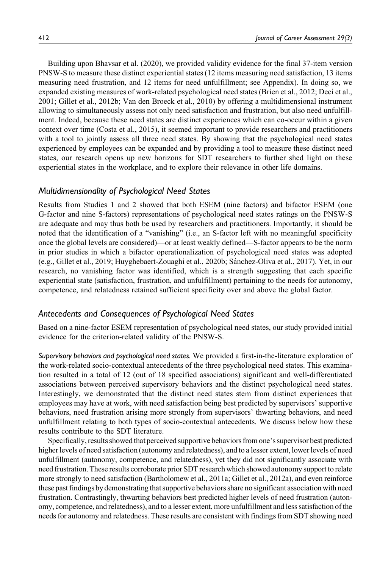Building upon Bhavsar et al. (2020), we provided validity evidence for the final 37-item version PNSW-S to measure these distinct experiential states (12 items measuring need satisfaction, 13 items measuring need frustration, and 12 items for need unfulfillment; see Appendix). In doing so, we expanded existing measures of work-related psychological need states (Brien et al., 2012; Deci et al., 2001; Gillet et al., 2012b; Van den Broeck et al., 2010) by offering a multidimensional instrument allowing to simultaneously assess not only need satisfaction and frustration, but also need unfulfillment. Indeed, because these need states are distinct experiences which can co-occur within a given context over time (Costa et al., 2015), it seemed important to provide researchers and practitioners with a tool to jointly assess all three need states. By showing that the psychological need states experienced by employees can be expanded and by providing a tool to measure these distinct need states, our research opens up new horizons for SDT researchers to further shed light on these experiential states in the workplace, and to explore their relevance in other life domains.

#### *Multidimensionality of Psychological Need States*

Results from Studies 1 and 2 showed that both ESEM (nine factors) and bifactor ESEM (one G-factor and nine S-factors) representations of psychological need states ratings on the PNSW-S are adequate and may thus both be used by researchers and practitioners. Importantly, it should be noted that the identification of a "vanishing" (i.e., an S-factor left with no meaningful specificity once the global levels are considered)—or at least weakly defined—S-factor appears to be the norm in prior studies in which a bifactor operationalization of psychological need states was adopted (e.g., Gillet et al., 2019; Huyghebaert-Zouaghi et al., 2020b; S´anchez-Oliva et al., 2017). Yet, in our research, no vanishing factor was identified, which is a strength suggesting that each specific experiential state (satisfaction, frustration, and unfulfillment) pertaining to the needs for autonomy, competence, and relatedness retained sufficient specificity over and above the global factor.

## *Antecedents and Consequences of Psychological Need States*

Based on a nine-factor ESEM representation of psychological need states, our study provided initial evidence for the criterion-related validity of the PNSW-S.

*Supervisory behaviors and psychological need states.* We provided a first-in-the-literature exploration of the work-related socio-contextual antecedents of the three psychological need states. This examination resulted in a total of 12 (out of 18 specified associations) significant and well-differentiated associations between perceived supervisory behaviors and the distinct psychological need states. Interestingly, we demonstrated that the distinct need states stem from distinct experiences that employees may have at work, with need satisfaction being best predicted by supervisors' supportive behaviors, need frustration arising more strongly from supervisors' thwarting behaviors, and need unfulfillment relating to both types of socio-contextual antecedents. We discuss below how these results contribute to the SDT literature.

Specifically, results showed that perceived supportive behaviors from one's supervisor best predicted higher levels of need satisfaction (autonomy and relatedness), and to a lesser extent, lower levels of need unfulfillment (autonomy, competence, and relatedness), yet they did not significantly associate with need frustration. These results corroborate prior SDT research which showed autonomy support to relate more strongly to need satisfaction (Bartholomew et al., 2011a; Gillet et al., 2012a), and even reinforce these past findings by demonstrating that supportive behaviors share no significant association with need frustration. Contrastingly, thwarting behaviors best predicted higher levels of need frustration (autonomy, competence, and relatedness), and to a lesser extent, more unfulfillment and less satisfaction of the needs for autonomy and relatedness. These results are consistent with findings from SDT showing need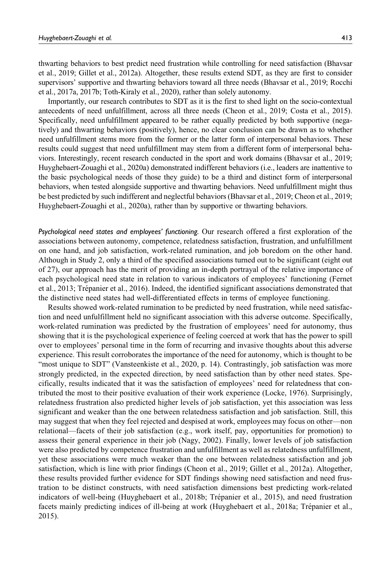thwarting behaviors to best predict need frustration while controlling for need satisfaction (Bhavsar et al., 2019; Gillet et al., 2012a). Altogether, these results extend SDT, as they are first to consider supervisors' supportive and thwarting behaviors toward all three needs (Bhavsar et al., 2019; Rocchi et al., 2017a, 2017b; Toth-Kiraly et al., 2020), rather than solely autonomy.

Importantly, our research contributes to SDT as it is the first to shed light on the socio-contextual antecedents of need unfulfillment, across all three needs (Cheon et al., 2019; Costa et al., 2015). Specifically, need unfulfillment appeared to be rather equally predicted by both supportive (negatively) and thwarting behaviors (positively), hence, no clear conclusion can be drawn as to whether need unfulfillment stems more from the former or the latter form of interpersonal behaviors. These results could suggest that need unfulfillment may stem from a different form of interpersonal behaviors. Interestingly, recent research conducted in the sport and work domains (Bhavsar et al., 2019; Huyghebaert-Zouaghi et al., 2020a) demonstrated indifferent behaviors (i.e., leaders are inattentive to the basic psychological needs of those they guide) to be a third and distinct form of interpersonal behaviors, when tested alongside supportive and thwarting behaviors. Need unfulfillment might thus be best predicted by such indifferent and neglectful behaviors (Bhavsar et al., 2019; Cheon et al., 2019; Huyghebaert-Zouaghi et al., 2020a), rather than by supportive or thwarting behaviors.

*Psychological need states and employees' functioning.* Our research offered a first exploration of the associations between autonomy, competence, relatedness satisfaction, frustration, and unfulfillment on one hand, and job satisfaction, work-related rumination, and job boredom on the other hand. Although in Study 2, only a third of the specified associations turned out to be significant (eight out of 27), our approach has the merit of providing an in-depth portrayal of the relative importance of each psychological need state in relation to various indicators of employees' functioning (Fernet et al., 2013; Trépanier et al., 2016). Indeed, the identified significant associations demonstrated that the distinctive need states had well-differentiated effects in terms of employee functioning.

Results showed work-related rumination to be predicted by need frustration, while need satisfaction and need unfulfillment held no significant association with this adverse outcome. Specifically, work-related rumination was predicted by the frustration of employees' need for autonomy, thus showing that it is the psychological experience of feeling coerced at work that has the power to spill over to employees' personal time in the form of recurring and invasive thoughts about this adverse experience. This result corroborates the importance of the need for autonomy, which is thought to be "most unique to SDT" (Vansteenkiste et al., 2020, p. 14). Contrastingly, job satisfaction was more strongly predicted, in the expected direction, by need satisfaction than by other need states. Specifically, results indicated that it was the satisfaction of employees' need for relatedness that contributed the most to their positive evaluation of their work experience (Locke, 1976). Surprisingly, relatedness frustration also predicted higher levels of job satisfaction, yet this association was less significant and weaker than the one between relatedness satisfaction and job satisfaction. Still, this may suggest that when they feel rejected and despised at work, employees may focus on other—non relational—facets of their job satisfaction (e.g., work itself, pay, opportunities for promotion) to assess their general experience in their job (Nagy, 2002). Finally, lower levels of job satisfaction were also predicted by competence frustration and unfulfillment as well as relatedness unfulfillment, yet these associations were much weaker than the one between relatedness satisfaction and job satisfaction, which is line with prior findings (Cheon et al., 2019; Gillet et al., 2012a). Altogether, these results provided further evidence for SDT findings showing need satisfaction and need frustration to be distinct constructs, with need satisfaction dimensions best predicting work-related indicators of well-being (Huyghebaert et al., 2018b; Trépanier et al., 2015), and need frustration facets mainly predicting indices of ill-being at work (Huyghebaert et al., 2018a; Trépanier et al., 2015).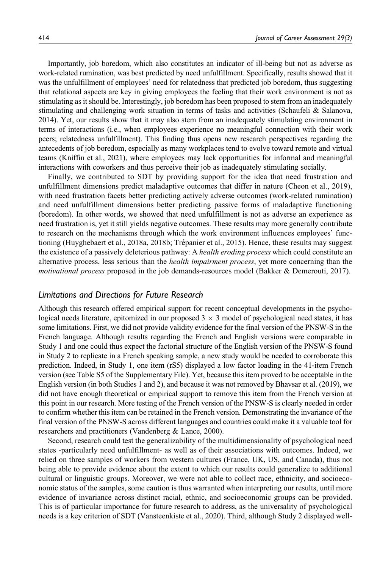Importantly, job boredom, which also constitutes an indicator of ill-being but not as adverse as work-related rumination, was best predicted by need unfulfillment. Specifically, results showed that it was the unfulfillment of employees' need for relatedness that predicted job boredom, thus suggesting that relational aspects are key in giving employees the feeling that their work environment is not as stimulating as it should be. Interestingly, job boredom has been proposed to stem from an inadequately stimulating and challenging work situation in terms of tasks and activities (Schaufeli & Salanova, 2014). Yet, our results show that it may also stem from an inadequately stimulating environment in terms of interactions (i.e., when employees experience no meaningful connection with their work peers; relatedness unfulfillment). This finding thus opens new research perspectives regarding the antecedents of job boredom, especially as many workplaces tend to evolve toward remote and virtual teams (Kniffin et al., 2021), where employees may lack opportunities for informal and meaningful interactions with coworkers and thus perceive their job as inadequately stimulating socially.

Finally, we contributed to SDT by providing support for the idea that need frustration and unfulfillment dimensions predict maladaptive outcomes that differ in nature (Cheon et al., 2019), with need frustration facets better predicting actively adverse outcomes (work-related rumination) and need unfulfillment dimensions better predicting passive forms of maladaptive functioning (boredom). In other words, we showed that need unfulfillment is not as adverse an experience as need frustration is, yet it still yields negative outcomes. These results may more generally contribute to research on the mechanisms through which the work environment influences employees' functioning (Huyghebaert et al., 2018a, 2018b; Trépanier et al., 2015). Hence, these results may suggest the existence of a passively deleterious pathway: A *health eroding process* which could constitute an alternative process, less serious than the health impairment process, yet more concerning than the motivational process proposed in the job demands-resources model (Bakker & Demerouti, 2017).

### *Limitations and Directions for Future Research*

Although this research offered empirical support for recent conceptual developments in the psychological needs literature, epitomized in our proposed  $3 \times 3$  model of psychological need states, it has some limitations. First, we did not provide validity evidence for the final version of the PNSW-S in the French language. Although results regarding the French and English versions were comparable in Study 1 and one could thus expect the factorial structure of the English version of the PNSW-S found in Study 2 to replicate in a French speaking sample, a new study would be needed to corroborate this prediction. Indeed, in Study 1, one item (rS5) displayed a low factor loading in the 41-item French version (see Table S5 of the Supplementary File). Yet, because this item proved to be acceptable in the English version (in both Studies 1 and 2), and because it was not removed by Bhavsar et al. (2019), we did not have enough theoretical or empirical support to remove this item from the French version at this point in our research. More testing of the French version of the PNSW-S is clearly needed in order to confirm whether this item can be retained in the French version. Demonstrating the invariance of the final version of the PNSW-S across different languages and countries could make it a valuable tool for researchers and practitioners (Vandenberg & Lance, 2000).

Second, research could test the generalizability of the multidimensionality of psychological need states -particularly need unfulfillment- as well as of their associations with outcomes. Indeed, we relied on three samples of workers from western cultures (France, UK, US, and Canada), thus not being able to provide evidence about the extent to which our results could generalize to additional cultural or linguistic groups. Moreover, we were not able to collect race, ethnicity, and socioeconomic status of the samples, some caution is thus warranted when interpreting our results, until more evidence of invariance across distinct racial, ethnic, and socioeconomic groups can be provided. This is of particular importance for future research to address, as the universality of psychological needs is a key criterion of SDT (Vansteenkiste et al., 2020). Third, although Study 2 displayed well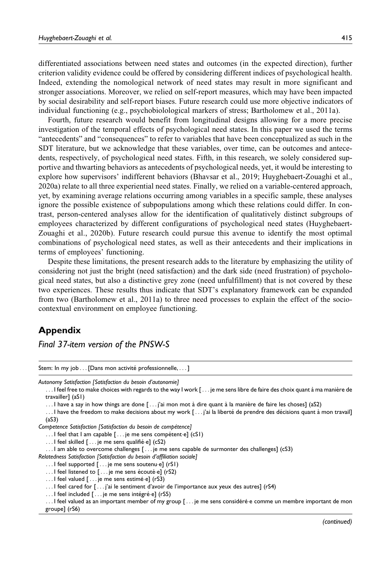differentiated associations between need states and outcomes (in the expected direction), further criterion validity evidence could be offered by considering different indices of psychological health. Indeed, extending the nomological network of need states may result in more significant and stronger associations. Moreover, we relied on self-report measures, which may have been impacted by social desirability and self-report biases. Future research could use more objective indicators of individual functioning (e.g., psychobiolological markers of stress; Bartholomew et al., 2011a).

Fourth, future research would benefit from longitudinal designs allowing for a more precise investigation of the temporal effects of psychological need states. In this paper we used the terms "antecedents" and "consequences" to refer to variables that have been conceptualized as such in the SDT literature, but we acknowledge that these variables, over time, can be outcomes and antecedents, respectively, of psychological need states. Fifth, in this research, we solely considered supportive and thwarting behaviors as antecedents of psychological needs, yet, it would be interesting to explore how supervisors' indifferent behaviors (Bhavsar et al., 2019; Huyghebaert-Zouaghi et al., 2020a) relate to all three experiential need states. Finally, we relied on a variable-centered approach, yet, by examining average relations occurring among variables in a specific sample, these analyses ignore the possible existence of subpopulations among which these relations could differ. In contrast, person-centered analyses allow for the identification of qualitatively distinct subgroups of employees characterized by different configurations of psychological need states (Huyghebaert-Zouaghi et al., 2020b). Future research could pursue this avenue to identify the most optimal combinations of psychological need states, as well as their antecedents and their implications in terms of employees' functioning.

Despite these limitations, the present research adds to the literature by emphasizing the utility of considering not just the bright (need satisfaction) and the dark side (need frustration) of psychological need states, but also a distinctive grey zone (need unfulfillment) that is not covered by these two experiences. These results thus indicate that SDT's explanatory framework can be expanded from two (Bartholomew et al., 2011a) to three need processes to explain the effect of the sociocontextual environment on employee functioning.

# **Appendix**

*Final 37-item version of the PNSW-S*

| Stem: In my job [Dans mon activité professionnelle, ]                                                                                                                                                                                              |  |  |  |  |  |
|----------------------------------------------------------------------------------------------------------------------------------------------------------------------------------------------------------------------------------------------------|--|--|--|--|--|
| Autonomy Satisfaction [Satisfaction du besoin d'autonomie]<br>If eel free to make choices with regards to the way I work [ je me sens libre de faire des choix quant à ma manière de                                                               |  |  |  |  |  |
| travailler] (aSI)<br>I have a say in how things are done [ j'ai mon mot à dire quant à la manière de faire les choses] (aS2)<br>I have the freedom to make decisions about my work [ j'ai la liberté de prendre des décisions quant à mon travail] |  |  |  |  |  |
| (aS3)<br>Competence Satisfaction [Satisfaction du besoin de compétence]                                                                                                                                                                            |  |  |  |  |  |
| I feel that I am capable $[\dots]$ ie me sens compétent e] (cSI)<br>I feel skilled [ je me sens qualifiée] (cS2)<br>I am able to overcome challenges [ je me sens capable de surmonter des challenges] (cS3)                                       |  |  |  |  |  |
| Relatedness Satisfaction [Satisfaction du besoin d'affiliation sociale]<br>I feel supported $[\dots]$ ie me sens soutenue $[\text{rSI}]$<br>I feel listened to [ je me sens écouté e] (rS2)                                                        |  |  |  |  |  |
| I feel valued [ je me sens estimé e] (rS3)<br>I feel cared for []'ai le sentiment d'avoir de l'importance aux yeux des autres] (rS4)<br>I feel included [ je me sens intégré e] (rS5)                                                              |  |  |  |  |  |
| I feel valued as an important member of my group [ je me sens considéré e comme un membre important de mon<br>groupe] (rS6)                                                                                                                        |  |  |  |  |  |
|                                                                                                                                                                                                                                                    |  |  |  |  |  |

*(continued)*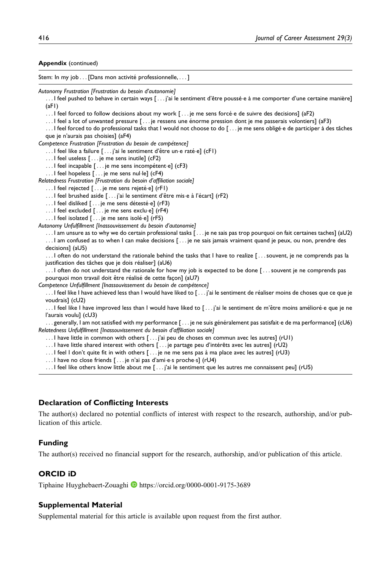#### **Appendix** (continued)

Stem: In my job . . . [Dans mon activité professionnelle, . . . ]

*Autonomy Frustration [Frustration du besoin d'autonomie]*

- ... I feel pushed to behave in certain ways [... j'ai le sentiment d'être poussé e à me comporter d'une certaine manière]  $(aF1)$
- ... I feel forced to follow decisions about my work [... je me sens forcée de suivre des decisions] (aF2)
- ... I feel a lot of unwanted pressure [ ... je ressens une enorme pression dont je me passerais volontiers] (aF3) ´
- ... I feel forced to do professional tasks that I would not choose to do [... je me sens obligé e de participer à des tâches que je n'aurais pas choisies] (aF4)

*Competence Frustration [Frustration du besoin de competence] ´*

- ... I feel like a failure [... j'ai le sentiment d'être un e raté e] (cFI)
- ... I feel useless [... je me sens inutile] (cF2)
- ... I feel incapable [... je me sens incompétent e] (cF3)
- $\dots$  I feel hopeless  $[\dots]$  ie me sens nulle] (cF4)

*Relatedness Frustration [Frustration du besoin d'affiliation sociale]*

- ... I feel rejected [... je me sens rejeté·e] (rFI)
- ... I feel brushed aside [... j'ai le sentiment d'être mis e à l'écart] (rF2)
- $\dots$  I feel disliked [ $\dots$  je me sens détesté $\cdot$ e] (rF3)
- ... I feel excluded [... je me sens exclue] (rF4)
- ... I feel isolated [... je me sens isolé·e] (rF5)

*Autonomy Unfulfillment [Inassouvissement du besoin d'autonomie]*

... I am unsure as to why we do certain professional tasks [... je ne sais pas trop pourquoi on fait certaines taches] (aU2) ... I am confused as to when I can make decisions [... je ne sais jamais vraiment quand je peux, ou non, prendre des decisions] (aU5)

... I often do not understand the rationale behind the tasks that I have to realize [ ...souvent, je ne comprends pas la justification des tâches que je dois réaliser]  $(a\cup 6)$ 

... I often do not understand the rationale for how my job is expected to be done [...souvent je ne comprends pas pourquoi mon travail doit être réalisé de cette façon] (aU7)

*Competence Unfulfillment [Inassouvissement du besoin de competence] ´*

... I feel like I have achieved less than I would have liked to [... j'ai le sentiment de realiser moins de choses que ce que je ´ voudrais] (cU2)

 $\ldots$ I feel like I have improved less than I would have liked to [ $\ldots$ j'ai le sentiment de m'être moins amélioré e que je ne l'aurais voulu] (cU3)

 $\ldots$ generally, I am not satisfied with my performance [ $\ldots$ je ne suis généralement pas satisfait e de ma performance] (cU6) *Relatedness Unfulfillment [Inassouvissement du besoin d'affiliation sociale]*

... I have little in common with others [... j'ai peu de choses en commun avec les autres] (rU1)

- ... I have little shared interest with others [... je partage peu d'intérêts avec les autres] (rU2)
- ... I feel I don't quite fit in with others [... je ne me sens pas à ma place avec les autres] (rU3)
- ... I have no close friends [... je n'ai pas d'ami·e·s proche·s] (rU4)
- ... I feel like others know little about me [ ... j'ai le sentiment que les autres me connaissent peu] (rU5)

#### **Declaration of Conflicting Interests**

The author(s) declared no potential conflicts of interest with respect to the research, authorship, and/or publication of this article.

#### **Funding**

The author(s) received no financial support for the research, authorship, and/or publication of this article.

#### **ORCID iD**

Tiphaine Huyghebaert-Zouaghi <https://orcid.org/0000-0001-9175-3689>

#### **Supplemental Material**

Supplemental material for this article is available upon request from the first author.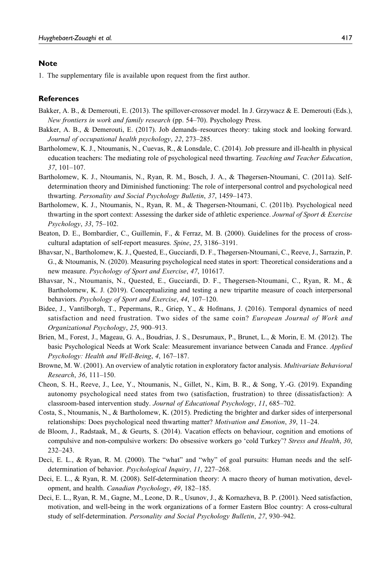#### **Note**

1. The supplementary file is available upon request from the first author.

#### **References**

- Bakker, A. B., & Demerouti, E. (2013). The spillover-crossover model. In J. Grzywacz & E. Demerouti (Eds.), New frontiers in work and family research (pp. 54–70). Psychology Press.
- Bakker, A. B., & Demerouti, E. (2017). Job demands–resources theory: taking stock and looking forward. Journal of occupational health psychology, 22, 273–285.
- Bartholomew, K. J., Ntoumanis, N., Cuevas, R., & Lonsdale, C. (2014). Job pressure and ill-health in physical education teachers: The mediating role of psychological need thwarting. Teaching and Teacher Education, 37, 101–107.
- Bartholomew, K. J., Ntoumanis, N., Ryan, R. M., Bosch, J. A., & Thøgersen-Ntoumani, C. (2011a). Selfdetermination theory and Diminished functioning: The role of interpersonal control and psychological need thwarting. Personality and Social Psychology Bulletin, 37, 1459–1473.
- Bartholomew, K. J., Ntoumanis, N., Ryan, R. M., & Thøgersen-Ntoumani, C. (2011b). Psychological need thwarting in the sport context: Assessing the darker side of athletic experience. Journal of Sport & Exercise Psychology, 33, 75–102.
- Beaton, D. E., Bombardier, C., Guillemin, F., & Ferraz, M. B. (2000). Guidelines for the process of crosscultural adaptation of self-report measures. Spine, 25, 3186–3191.
- Bhavsar, N., Bartholomew, K. J., Quested, E., Gucciardi, D. F., Thøgersen-Ntoumani, C., Reeve, J., Sarrazin, P. G., & Ntoumanis, N. (2020). Measuring psychological need states in sport: Theoretical considerations and a new measure. Psychology of Sport and Exercise, 47, 101617.
- Bhavsar, N., Ntoumanis, N., Quested, E., Gucciardi, D. F., Thøgersen-Ntoumani, C., Ryan, R. M., & Bartholomew, K. J. (2019). Conceptualizing and testing a new tripartite measure of coach interpersonal behaviors. Psychology of Sport and Exercise, 44, 107-120.
- Bidee, J., Vantilborgh, T., Pepermans, R., Griep, Y., & Hofmans, J. (2016). Temporal dynamics of need satisfaction and need frustration. Two sides of the same coin? European Journal of Work and Organizational Psychology, 25, 900–913.
- Brien, M., Forest, J., Mageau, G. A., Boudrias, J. S., Desrumaux, P., Brunet, L., & Morin, E. M. (2012). The basic Psychological Needs at Work Scale: Measurement invariance between Canada and France. Applied Psychology: Health and Well-Being, 4, 167–187.
- Browne, M. W. (2001). An overview of analytic rotation in exploratory factor analysis. Multivariate Behavioral Research, 36, 111–150.
- Cheon, S. H., Reeve, J., Lee, Y., Ntoumanis, N., Gillet, N., Kim, B. R., & Song, Y.-G. (2019). Expanding autonomy psychological need states from two (satisfaction, frustration) to three (dissatisfaction): A classroom-based intervention study. Journal of Educational Psychology, 11, 685–702.
- Costa, S., Ntoumanis, N., & Bartholomew, K. (2015). Predicting the brighter and darker sides of interpersonal relationships: Does psychological need thwarting matter? Motivation and Emotion, 39, 11–24.
- de Bloom, J., Radstaak, M., & Geurts, S. (2014). Vacation effects on behaviour, cognition and emotions of compulsive and non-compulsive workers: Do obsessive workers go 'cold Turkey'? Stress and Health, 30, 232–243.
- Deci, E. L., & Ryan, R. M. (2000). The "what" and "why" of goal pursuits: Human needs and the selfdetermination of behavior. Psychological Inquiry, 11, 227–268.
- Deci, E. L., & Ryan, R. M. (2008). Self-determination theory: A macro theory of human motivation, development, and health. Canadian Psychology, 49, 182–185.
- Deci, E. L., Ryan, R. M., Gagne, M., Leone, D. R., Usunov, J., & Kornazheva, B. P. (2001). Need satisfaction, motivation, and well-being in the work organizations of a former Eastern Bloc country: A cross-cultural study of self-determination. Personality and Social Psychology Bulletin, 27, 930–942.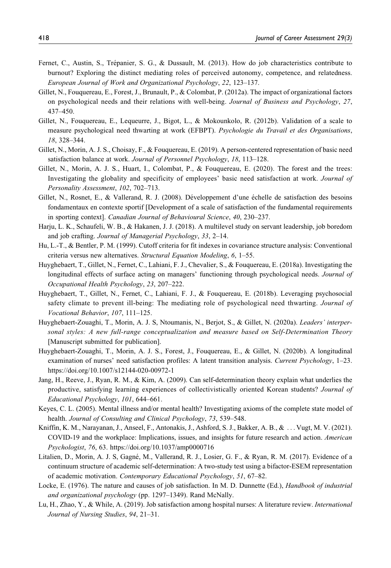- Fernet, C., Austin, S., Trépanier, S. G., & Dussault, M. (2013). How do job characteristics contribute to burnout? Exploring the distinct mediating roles of perceived autonomy, competence, and relatedness. European Journal of Work and Organizational Psychology, 22, 123–137.
- Gillet, N., Fouquereau, E., Forest, J., Brunault, P., & Colombat, P. (2012a). The impact of organizational factors on psychological needs and their relations with well-being. Journal of Business and Psychology, 27, 437–450.
- Gillet, N., Fouquereau, E., Lequeurre, J., Bigot, L., & Mokounkolo, R. (2012b). Validation of a scale to measure psychological need thwarting at work (EFBPT). Psychologie du Travail et des Organisations, 18, 328–344.
- Gillet, N., Morin, A. J. S., Choisay, F., & Fouquereau, E. (2019). A person-centered representation of basic need satisfaction balance at work. Journal of Personnel Psychology, 18, 113-128.
- Gillet, N., Morin, A. J. S., Huart, I., Colombat, P., & Fouquereau, E. (2020). The forest and the trees: Investigating the globality and specificity of employees' basic need satisfaction at work. Journal of Personality Assessment, 102, 702–713.
- Gillet, N., Rosnet, E., & Vallerand, R. J. (2008). Développement d'une échelle de satisfaction des besoins fondamentaux en contexte sportif [Development of a scale of satisfaction of the fundamental requirements in sporting context]. Canadian Journal of Behavioural Science, 40, 230–237.
- Harju, L. K., Schaufeli, W. B., & Hakanen, J. J. (2018). A multilevel study on servant leadership, job boredom and job crafting. Journal of Managerial Psychology, 33, 2–14.
- Hu, L.-T., & Bentler, P. M. (1999). Cutoff criteria for fit indexes in covariance structure analysis: Conventional criteria versus new alternatives. Structural Equation Modeling, 6, 1–55.
- Huyghebaert, T., Gillet, N., Fernet, C., Lahiani, F. J., Chevalier, S., & Fouquereau, E. (2018a). Investigating the longitudinal effects of surface acting on managers' functioning through psychological needs. Journal of Occupational Health Psychology, 23, 207–222.
- Huyghebaert, T., Gillet, N., Fernet, C., Lahiani, F. J., & Fouquereau, E. (2018b). Leveraging psychosocial safety climate to prevent ill-being: The mediating role of psychological need thwarting. Journal of Vocational Behavior, 107, 111–125.
- Huyghebaert-Zouaghi, T., Morin, A. J. S, Ntoumanis, N., Berjot, S., & Gillet, N. (2020a). Leaders' interpersonal styles: A new full-range conceptualization and measure based on Self-Determination Theory [Manuscript submitted for publication].
- Huyghebaert-Zouaghi, T., Morin, A. J. S., Forest, J., Fouquereau, E., & Gillet, N. (2020b). A longitudinal examination of nurses' need satisfaction profiles: A latent transition analysis. Current Psychology, 1–23. <https://doi.org/10.1007/s12144-020-00972-1>
- Jang, H., Reeve, J., Ryan, R. M., & Kim, A. (2009). Can self-determination theory explain what underlies the productive, satisfying learning experiences of collectivistically oriented Korean students? Journal of Educational Psychology, 101, 644–661.
- Keyes, C. L. (2005). Mental illness and/or mental health? Investigating axioms of the complete state model of health. Journal of Consulting and Clinical Psychology, 73, 539–548.
- Kniffin, K. M., Narayanan, J., Anseel, F., Antonakis, J., Ashford, S. J., Bakker, A. B., & ... Vugt, M. V. (2021). COVID-19 and the workplace: Implications, issues, and insights for future research and action. American Psychologist, 76, 63.<https://doi.org/10.1037/amp0000716>
- Litalien, D., Morin, A. J. S, Gagné, M., Vallerand, R. J., Losier, G. F., & Ryan, R. M. (2017). Evidence of a continuum structure of academic self-determination: A two-study test using a bifactor-ESEM representation of academic motivation. Contemporary Educational Psychology, 51, 67–82.
- Locke, E. (1976). The nature and causes of job satisfaction. In M. D. Dunnette (Ed.), Handbook of industrial and organizational psychology (pp. 1297–1349). Rand McNally.
- Lu, H., Zhao, Y., & While, A. (2019). Job satisfaction among hospital nurses: A literature review. International Journal of Nursing Studies, 94, 21–31.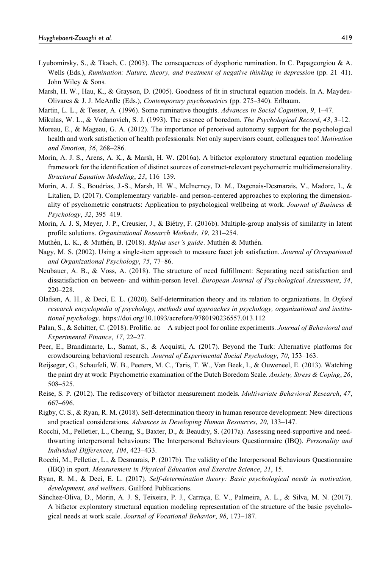- Lyubomirsky, S., & Tkach, C. (2003). The consequences of dysphoric rumination. In C. Papageorgiou & A. Wells (Eds.), Rumination: Nature, theory, and treatment of negative thinking in depression (pp. 21–41). John Wiley & Sons.
- Marsh, H. W., Hau, K., & Grayson, D. (2005). Goodness of fit in structural equation models. In A. Maydeu-Olivares & J. J. McArdle (Eds.), Contemporary psychometrics (pp. 275–340). Erlbaum.
- Martin, L. L., & Tesser, A. (1996). Some ruminative thoughts. Advances in Social Cognition, 9, 1–47.
- Mikulas, W. L., & Vodanovich, S. J. (1993). The essence of boredom. The Psychological Record, 43, 3–12.
- Moreau, E., & Mageau, G. A. (2012). The importance of perceived autonomy support for the psychological health and work satisfaction of health professionals: Not only supervisors count, colleagues too! Motivation and Emotion, 36, 268–286.
- Morin, A. J. S., Arens, A. K., & Marsh, H. W. (2016a). A bifactor exploratory structural equation modeling framework for the identification of distinct sources of construct-relevant psychometric multidimensionality. Structural Equation Modeling, 23, 116–139.
- Morin, A. J. S., Boudrias, J.-S., Marsh, H. W., McInerney, D. M., Dagenais-Desmarais, V., Madore, I., & Litalien, D. (2017). Complementary variable- and person-centered approaches to exploring the dimensionality of psychometric constructs: Application to psychological wellbeing at work. Journal of Business & Psychology, 32, 395–419.
- Morin, A. J. S, Meyer, J. P., Creusier, J., & Biétry, F. (2016b). Multiple-group analysis of similarity in latent profile solutions. Organizational Research Methods, 19, 231–254.
- Muthén, L. K., & Muthén, B. (2018). Mplus user's guide. Muthén & Muthén.
- Nagy, M. S. (2002). Using a single-item approach to measure facet job satisfaction. Journal of Occupational and Organizational Psychology, 75, 77–86.
- Neubauer, A. B., & Voss, A. (2018). The structure of need fulfillment: Separating need satisfaction and dissatisfaction on between- and within-person level. European Journal of Psychological Assessment, 34, 220–228.
- Olafsen, A. H., & Deci, E. L. (2020). Self-determination theory and its relation to organizations. In Oxford research encyclopedia of psychology, methods and approaches in psychology, organizational and institutional psychology.<https://doi.org/10.1093/acrefore/9780190236557.013.112>
- Palan, S., & Schitter, C. (2018). Prolific. ac—A subject pool for online experiments. Journal of Behavioral and Experimental Finance, 17, 22–27.
- Peer, E., Brandimarte, L., Samat, S., & Acquisti, A. (2017). Beyond the Turk: Alternative platforms for crowdsourcing behavioral research. Journal of Experimental Social Psychology, 70, 153–163.
- Reijseger, G., Schaufeli, W. B., Peeters, M. C., Taris, T. W., Van Beek, I., & Ouweneel, E. (2013). Watching the paint dry at work: Psychometric examination of the Dutch Boredom Scale. Anxiety, Stress & Coping, 26, 508–525.
- Reise, S. P. (2012). The rediscovery of bifactor measurement models. Multivariate Behavioral Research, 47, 667–696.
- Rigby, C. S., & Ryan, R. M. (2018). Self-determination theory in human resource development: New directions and practical considerations. Advances in Developing Human Resources, 20, 133–147.
- Rocchi, M., Pelletier, L., Cheung, S., Baxter, D., & Beaudry, S. (2017a). Assessing need-supportive and needthwarting interpersonal behaviours: The Interpersonal Behaviours Questionnaire (IBQ). Personality and Individual Differences, 104, 423–433.
- Rocchi, M., Pelletier, L., & Desmarais, P. (2017b). The validity of the Interpersonal Behaviours Questionnaire (IBQ) in sport. Measurement in Physical Education and Exercise Science, 21, 15.
- Ryan, R. M., & Deci, E. L. (2017). Self-determination theory: Basic psychological needs in motivation, development, and wellness. Guilford Publications.
- Sánchez-Oliva, D., Morin, A. J. S, Teixeira, P. J., Carraça, E. V., Palmeira, A. L., & Silva, M. N. (2017). A bifactor exploratory structural equation modeling representation of the structure of the basic psychological needs at work scale. Journal of Vocational Behavior, 98, 173–187.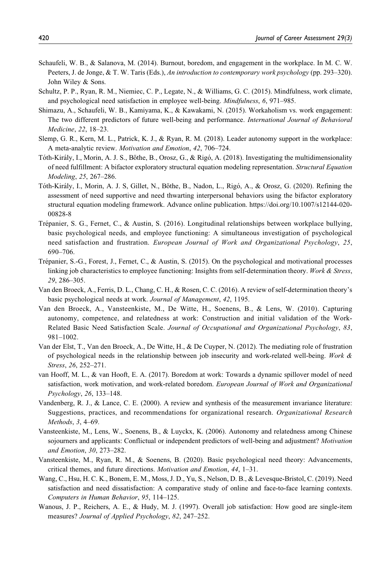- Schaufeli, W. B., & Salanova, M. (2014). Burnout, boredom, and engagement in the workplace. In M. C. W. Peeters, J. de Jonge, & T. W. Taris (Eds.), An introduction to contemporary work psychology (pp. 293–320). John Wiley & Sons.
- Schultz, P. P., Ryan, R. M., Niemiec, C. P., Legate, N., & Williams, G. C. (2015). Mindfulness, work climate, and psychological need satisfaction in employee well-being. Mindfulness, 6, 971–985.
- Shimazu, A., Schaufeli, W. B., Kamiyama, K., & Kawakami, N. (2015). Workaholism vs. work engagement: The two different predictors of future well-being and performance. International Journal of Behavioral Medicine, 22, 18–23.
- Slemp, G. R., Kern, M. L., Patrick, K. J., & Ryan, R. M. (2018). Leader autonomy support in the workplace: A meta-analytic review. Motivation and Emotion, 42, 706–724.
- Tóth-Király, I., Morin, A. J. S., Bőthe, B., Orosz, G., & Rigó, A. (2018). Investigating the multidimensionality of need fulfillment: A bifactor exploratory structural equation modeling representation. Structural Equation Modeling, 25, 267–286.
- Tóth-Király, I., Morin, A. J. S, Gillet, N., Bőthe, B., Nadon, L., Rigó, A., & Orosz, G. (2020). Refining the assessment of need supportive and need thwarting interpersonal behaviors using the bifactor exploratory structural equation modeling framework. Advance online publication. [https://doi.org/10.1007/s12144-020-](https://doi.org/10.1007/s12144-020-00828-8) [00828-8](https://doi.org/10.1007/s12144-020-00828-8)
- Trépanier, S. G., Fernet, C., & Austin, S. (2016). Longitudinal relationships between workplace bullying, basic psychological needs, and employee functioning: A simultaneous investigation of psychological need satisfaction and frustration. European Journal of Work and Organizational Psychology, 25, 690–706.
- Trépanier, S.-G., Forest, J., Fernet, C., & Austin, S. (2015). On the psychological and motivational processes linking job characteristics to employee functioning: Insights from self-determination theory. Work & Stress, 29, 286–305.
- Van den Broeck, A., Ferris, D. L., Chang, C. H., & Rosen, C. C. (2016). A review of self-determination theory's basic psychological needs at work. Journal of Management, 42, 1195.
- Van den Broeck, A., Vansteenkiste, M., De Witte, H., Soenens, B., & Lens, W. (2010). Capturing autonomy, competence, and relatedness at work: Construction and initial validation of the Work-Related Basic Need Satisfaction Scale. Journal of Occupational and Organizational Psychology, 83, 981–1002.
- Van der Elst, T., Van den Broeck, A., De Witte, H., & De Cuyper, N. (2012). The mediating role of frustration of psychological needs in the relationship between job insecurity and work-related well-being. Work  $\&$ Stress, 26, 252–271.
- van Hooff, M. L., & van Hooft, E. A. (2017). Boredom at work: Towards a dynamic spillover model of need satisfaction, work motivation, and work-related boredom. European Journal of Work and Organizational Psychology, 26, 133–148.
- Vandenberg, R. J., & Lance, C. E. (2000). A review and synthesis of the measurement invariance literature: Suggestions, practices, and recommendations for organizational research. Organizational Research Methods, 3, 4–69.
- Vansteenkiste, M., Lens, W., Soenens, B., & Luyckx, K. (2006). Autonomy and relatedness among Chinese sojourners and applicants: Conflictual or independent predictors of well-being and adjustment? Motivation and Emotion, 30, 273–282.
- Vansteenkiste, M., Ryan, R. M., & Soenens, B. (2020). Basic psychological need theory: Advancements, critical themes, and future directions. Motivation and Emotion, 44, 1–31.
- Wang, C., Hsu, H. C. K., Bonem, E. M., Moss, J. D., Yu, S., Nelson, D. B., & Levesque-Bristol, C. (2019). Need satisfaction and need dissatisfaction: A comparative study of online and face-to-face learning contexts. Computers in Human Behavior, 95, 114–125.
- Wanous, J. P., Reichers, A. E., & Hudy, M. J. (1997). Overall job satisfaction: How good are single-item measures? Journal of Applied Psychology, 82, 247–252.